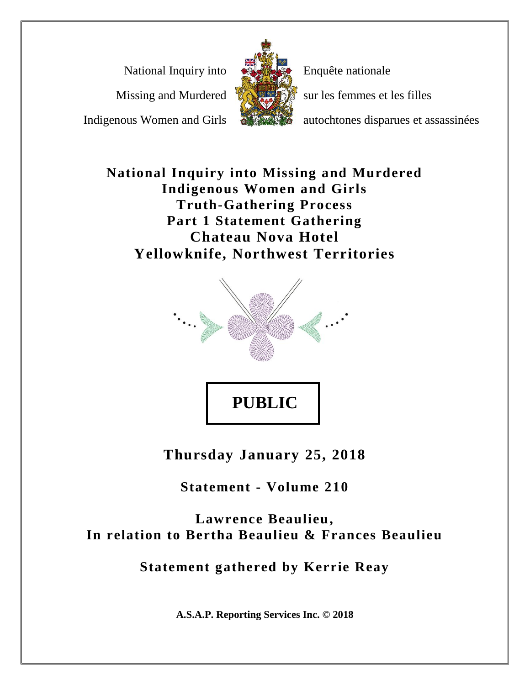National Inquiry into

Missing and Murdered

Indigenous Women and Girls



Enquête nationale

sur les femmes et les filles

autochtones disparues et assassinées

**National Inquiry into Missing and Murdered Indigenous Women and Girls Truth-Gathering Process Part 1 Statement Gathering Chateau Nova Hotel Yellowknife, Northwest Territories**



**Thursday January 25, 2018**

**Statement - Volume 210**

**Lawrence Beaulieu, In relation to Bertha Beaulieu & Frances Beaulieu**

**Statement gathered by Kerrie Reay**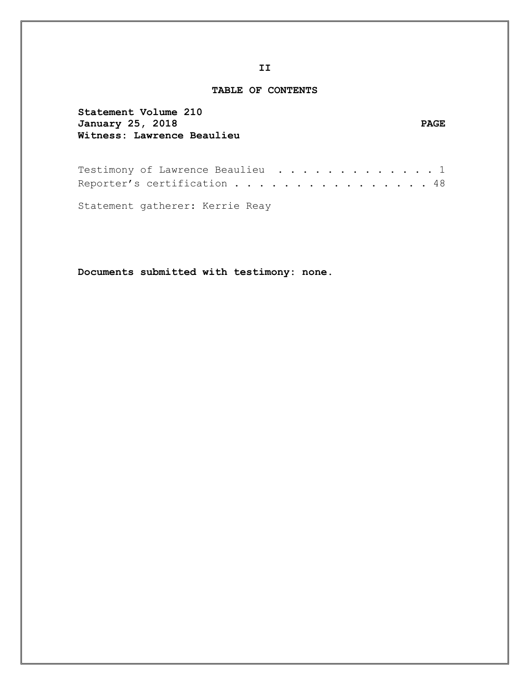#### **TABLE OF CONTENTS**

| Statement Volume 210       |             |
|----------------------------|-------------|
| January 25, 2018           | <b>PAGE</b> |
| Witness: Lawrence Beaulieu |             |
|                            |             |

Testimony of Lawrence Beaulieu . . . . . . . . . . . . 1 Reporter's certification . . . . . . . . . . . . . . . 48

Statement gatherer: Kerrie Reay

**Documents submitted with testimony: none.**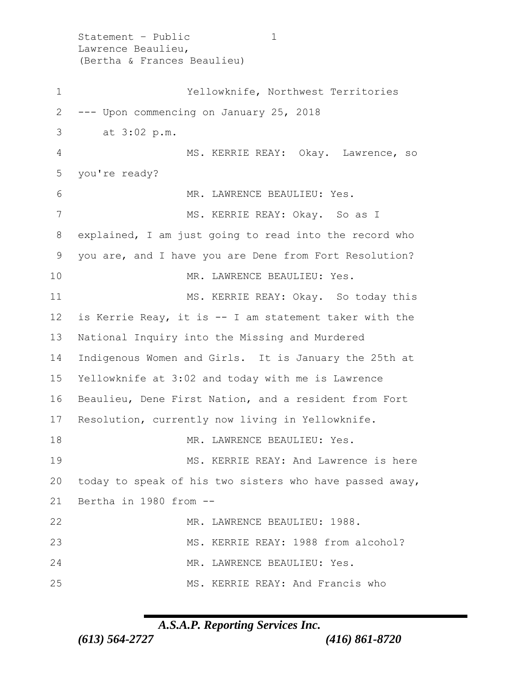Statement - Public 1 Lawrence Beaulieu, (Bertha & Frances Beaulieu) Yellowknife, Northwest Territories --- Upon commencing on January 25, 2018 3 at 3:02 p.m. MS. KERRIE REAY: Okay. Lawrence, so you're ready? 6 MR. LAWRENCE BEAULIEU: Yes. 7 MS. KERRIE REAY: Okay. So as I explained, I am just going to read into the record who you are, and I have you are Dene from Fort Resolution? MR. LAWRENCE BEAULIEU: Yes. MS. KERRIE REAY: Okay. So today this is Kerrie Reay, it is -- I am statement taker with the National Inquiry into the Missing and Murdered Indigenous Women and Girls. It is January the 25th at Yellowknife at 3:02 and today with me is Lawrence Beaulieu, Dene First Nation, and a resident from Fort Resolution, currently now living in Yellowknife. MR. LAWRENCE BEAULIEU: Yes. MS. KERRIE REAY: And Lawrence is here today to speak of his two sisters who have passed away, Bertha in 1980 from -- MR. LAWRENCE BEAULIEU: 1988. 23 MS. KERRIE REAY: 1988 from alcohol? MR. LAWRENCE BEAULIEU: Yes. MS. KERRIE REAY: And Francis who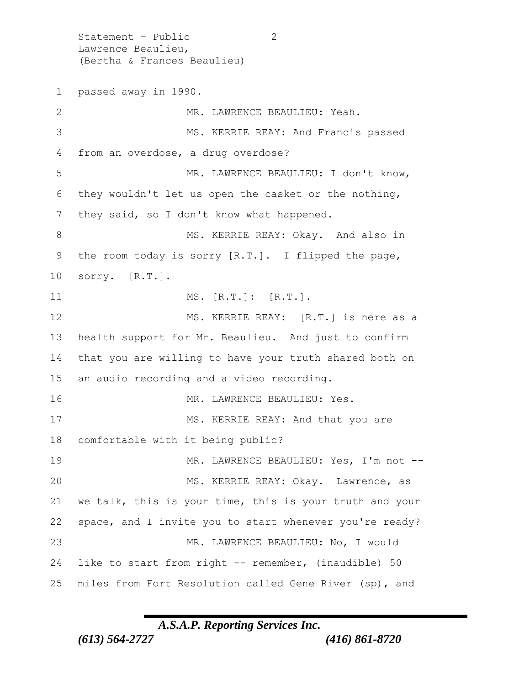Statement - Public 2 Lawrence Beaulieu, (Bertha & Frances Beaulieu) passed away in 1990. MR. LAWRENCE BEAULIEU: Yeah. MS. KERRIE REAY: And Francis passed from an overdose, a drug overdose? MR. LAWRENCE BEAULIEU: I don't know, they wouldn't let us open the casket or the nothing, 7 they said, so I don't know what happened. 8 MS. KERRIE REAY: Okay. And also in the room today is sorry [R.T.]. I flipped the page, sorry. [R.T.]. 11 MS. [R.T.]: [R.T.]. MS. KERRIE REAY: [R.T.] is here as a health support for Mr. Beaulieu. And just to confirm that you are willing to have your truth shared both on an audio recording and a video recording. 16 MR. LAWRENCE BEAULIEU: Yes. MS. KERRIE REAY: And that you are comfortable with it being public? 19 MR. LAWRENCE BEAULIEU: Yes, I'm not --20 MS. KERRIE REAY: Okay. Lawrence, as we talk, this is your time, this is your truth and your space, and I invite you to start whenever you're ready? MR. LAWRENCE BEAULIEU: No, I would like to start from right -- remember, (inaudible) 50 miles from Fort Resolution called Gene River (sp), and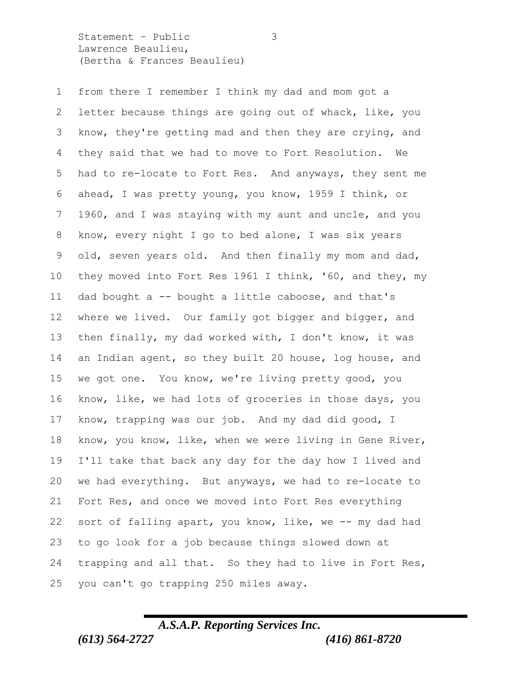Statement – Public 3 Lawrence Beaulieu, (Bertha & Frances Beaulieu)

 from there I remember I think my dad and mom got a letter because things are going out of whack, like, you know, they're getting mad and then they are crying, and they said that we had to move to Fort Resolution. We had to re-locate to Fort Res. And anyways, they sent me ahead, I was pretty young, you know, 1959 I think, or 1960, and I was staying with my aunt and uncle, and you know, every night I go to bed alone, I was six years old, seven years old. And then finally my mom and dad, they moved into Fort Res 1961 I think, '60, and they, my dad bought a -- bought a little caboose, and that's where we lived. Our family got bigger and bigger, and then finally, my dad worked with, I don't know, it was an Indian agent, so they built 20 house, log house, and we got one. You know, we're living pretty good, you know, like, we had lots of groceries in those days, you know, trapping was our job. And my dad did good, I know, you know, like, when we were living in Gene River, I'll take that back any day for the day how I lived and we had everything. But anyways, we had to re-locate to Fort Res, and once we moved into Fort Res everything 22 sort of falling apart, you know, like, we -- my dad had to go look for a job because things slowed down at trapping and all that. So they had to live in Fort Res, you can't go trapping 250 miles away.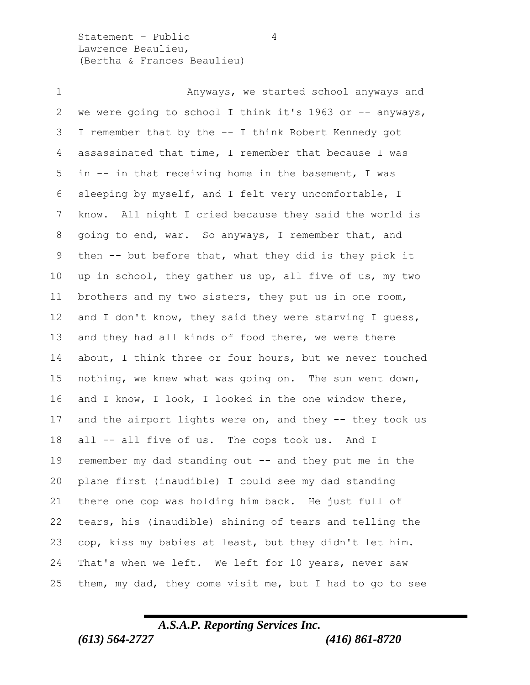Statement – Public 4 Lawrence Beaulieu, (Bertha & Frances Beaulieu)

 Anyways, we started school anyways and 2 we were going to school I think it's 1963 or -- anyways, I remember that by the -- I think Robert Kennedy got assassinated that time, I remember that because I was in -- in that receiving home in the basement, I was sleeping by myself, and I felt very uncomfortable, I know. All night I cried because they said the world is going to end, war. So anyways, I remember that, and then -- but before that, what they did is they pick it up in school, they gather us up, all five of us, my two brothers and my two sisters, they put us in one room, and I don't know, they said they were starving I guess, and they had all kinds of food there, we were there about, I think three or four hours, but we never touched nothing, we knew what was going on. The sun went down, and I know, I look, I looked in the one window there, 17 and the airport lights were on, and they -- they took us all -- all five of us. The cops took us. And I remember my dad standing out -- and they put me in the plane first (inaudible) I could see my dad standing there one cop was holding him back. He just full of tears, his (inaudible) shining of tears and telling the cop, kiss my babies at least, but they didn't let him. That's when we left. We left for 10 years, never saw them, my dad, they come visit me, but I had to go to see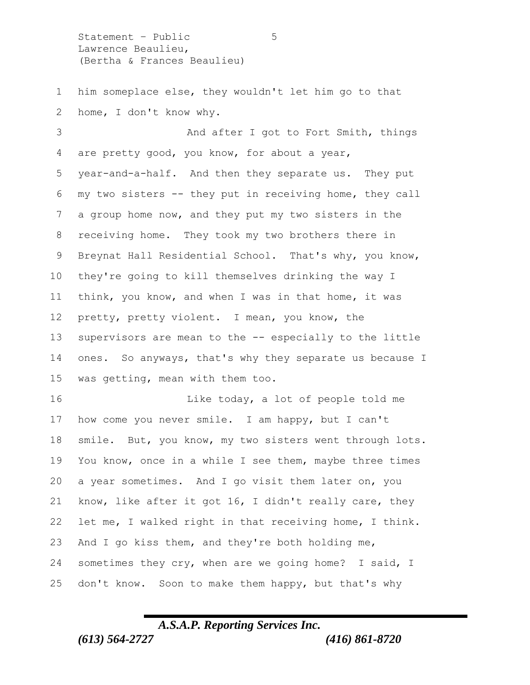Statement – Public 5 Lawrence Beaulieu, (Bertha & Frances Beaulieu)

 him someplace else, they wouldn't let him go to that home, I don't know why.

 And after I got to Fort Smith, things are pretty good, you know, for about a year, year-and-a-half. And then they separate us. They put my two sisters -- they put in receiving home, they call a group home now, and they put my two sisters in the receiving home. They took my two brothers there in Breynat Hall Residential School. That's why, you know, they're going to kill themselves drinking the way I think, you know, and when I was in that home, it was pretty, pretty violent. I mean, you know, the supervisors are mean to the -- especially to the little ones. So anyways, that's why they separate us because I was getting, mean with them too.

16 Like today, a lot of people told me how come you never smile. I am happy, but I can't smile. But, you know, my two sisters went through lots. You know, once in a while I see them, maybe three times a year sometimes. And I go visit them later on, you know, like after it got 16, I didn't really care, they let me, I walked right in that receiving home, I think. And I go kiss them, and they're both holding me, sometimes they cry, when are we going home? I said, I don't know. Soon to make them happy, but that's why

## *A.S.A.P. Reporting Services Inc. (613) 564-2727 (416) 861-8720*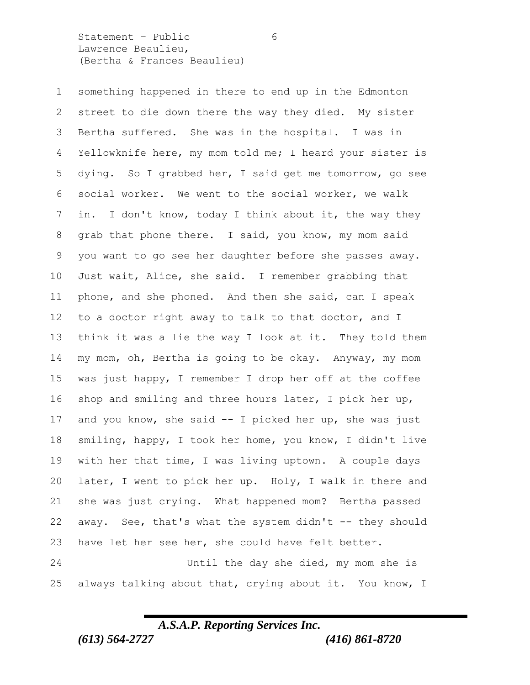Statement - Public 6 Lawrence Beaulieu, (Bertha & Frances Beaulieu)

 something happened in there to end up in the Edmonton street to die down there the way they died. My sister Bertha suffered. She was in the hospital. I was in Yellowknife here, my mom told me; I heard your sister is dying. So I grabbed her, I said get me tomorrow, go see social worker. We went to the social worker, we walk in. I don't know, today I think about it, the way they grab that phone there. I said, you know, my mom said you want to go see her daughter before she passes away. Just wait, Alice, she said. I remember grabbing that phone, and she phoned. And then she said, can I speak to a doctor right away to talk to that doctor, and I think it was a lie the way I look at it. They told them my mom, oh, Bertha is going to be okay. Anyway, my mom was just happy, I remember I drop her off at the coffee shop and smiling and three hours later, I pick her up, and you know, she said -- I picked her up, she was just smiling, happy, I took her home, you know, I didn't live with her that time, I was living uptown. A couple days later, I went to pick her up. Holy, I walk in there and she was just crying. What happened mom? Bertha passed away. See, that's what the system didn't -- they should have let her see her, she could have felt better. Until the day she died, my mom she is always talking about that, crying about it. You know, I

#### *A.S.A.P. Reporting Services Inc. (613) 564-2727 (416) 861-8720*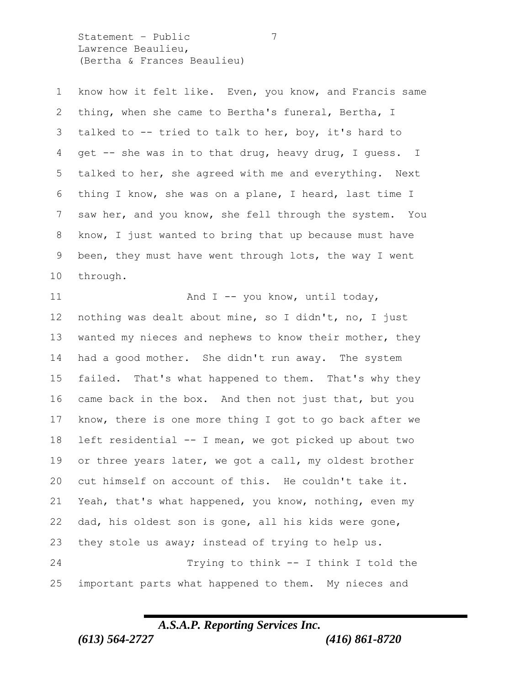Statement – Public 7 Lawrence Beaulieu, (Bertha & Frances Beaulieu)

 know how it felt like. Even, you know, and Francis same thing, when she came to Bertha's funeral, Bertha, I talked to -- tried to talk to her, boy, it's hard to get -- she was in to that drug, heavy drug, I guess. I talked to her, she agreed with me and everything. Next thing I know, she was on a plane, I heard, last time I saw her, and you know, she fell through the system. You know, I just wanted to bring that up because must have been, they must have went through lots, the way I went through.

11 And I -- you know, until today, nothing was dealt about mine, so I didn't, no, I just wanted my nieces and nephews to know their mother, they had a good mother. She didn't run away. The system failed. That's what happened to them. That's why they came back in the box. And then not just that, but you know, there is one more thing I got to go back after we left residential -- I mean, we got picked up about two or three years later, we got a call, my oldest brother cut himself on account of this. He couldn't take it. Yeah, that's what happened, you know, nothing, even my dad, his oldest son is gone, all his kids were gone, they stole us away; instead of trying to help us. Trying to think -- I think I told the important parts what happened to them. My nieces and

## *A.S.A.P. Reporting Services Inc.*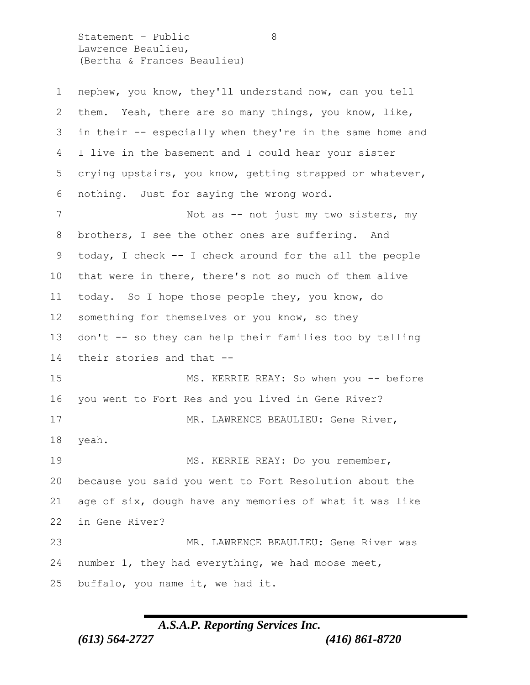Statement – Public 8 Lawrence Beaulieu, (Bertha & Frances Beaulieu)

| $\mathbf 1$ | nephew, you know, they'll understand now, can you tell   |
|-------------|----------------------------------------------------------|
| 2           | them. Yeah, there are so many things, you know, like,    |
| 3           | in their -- especially when they're in the same home and |
| 4           | I live in the basement and I could hear your sister      |
| 5           | crying upstairs, you know, getting strapped or whatever, |
| 6           | nothing. Just for saying the wrong word.                 |
| 7           | Not as -- not just my two sisters, my                    |
| 8           | brothers, I see the other ones are suffering. And        |
| 9           | today, I check -- I check around for the all the people  |
| 10          | that were in there, there's not so much of them alive    |
| 11          | today. So I hope those people they, you know, do         |
| 12          | something for themselves or you know, so they            |
| 13          | don't -- so they can help their families too by telling  |
| 14          | their stories and that --                                |
| 15          | MS. KERRIE REAY: So when you -- before                   |
| 16          | you went to Fort Res and you lived in Gene River?        |
| 17          | MR. LAWRENCE BEAULIEU: Gene River,                       |
| 18          | yeah.                                                    |
| 19          | MS. KERRIE REAY: Do you remember,                        |
| 20          | because you said you went to Fort Resolution about the   |
| 21          | age of six, dough have any memories of what it was like  |
| 22          | in Gene River?                                           |
| 23          | MR. LAWRENCE BEAULIEU: Gene River was                    |
| 24          | number 1, they had everything, we had moose meet,        |
| 25          | buffalo, you name it, we had it.                         |

# *A.S.A.P. Reporting Services Inc.*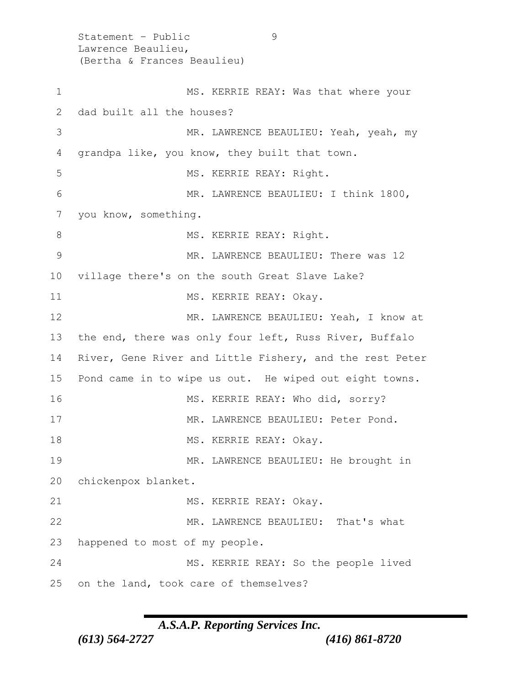Statement - Public 9 Lawrence Beaulieu, (Bertha & Frances Beaulieu) 1 MS. KERRIE REAY: Was that where your 2 dad built all the houses? 3 MR. LAWRENCE BEAULIEU: Yeah, yeah, my 4 grandpa like, you know, they built that town. 5 MS. KERRIE REAY: Right. 6 MR. LAWRENCE BEAULIEU: I think 1800, 7 you know, something. 8 MS. KERRIE REAY: Right. 9 MR. LAWRENCE BEAULIEU: There was 12 10 village there's on the south Great Slave Lake? 11 MS. KERRIE REAY: Okay. 12 MR. LAWRENCE BEAULIEU: Yeah, I know at 13 the end, there was only four left, Russ River, Buffalo 14 River, Gene River and Little Fishery, and the rest Peter 15 Pond came in to wipe us out. He wiped out eight towns. 16 MS. KERRIE REAY: Who did, sorry? 17 MR. LAWRENCE BEAULIEU: Peter Pond. 18 MS. KERRIE REAY: Okay. 19 MR. LAWRENCE BEAULIEU: He brought in 20 chickenpox blanket. 21 MS. KERRIE REAY: Okay. 22 MR. LAWRENCE BEAULIEU: That's what 23 happened to most of my people. 24 MS. KERRIE REAY: So the people lived 25 on the land, took care of themselves?

#### *A.S.A.P. Reporting Services Inc.*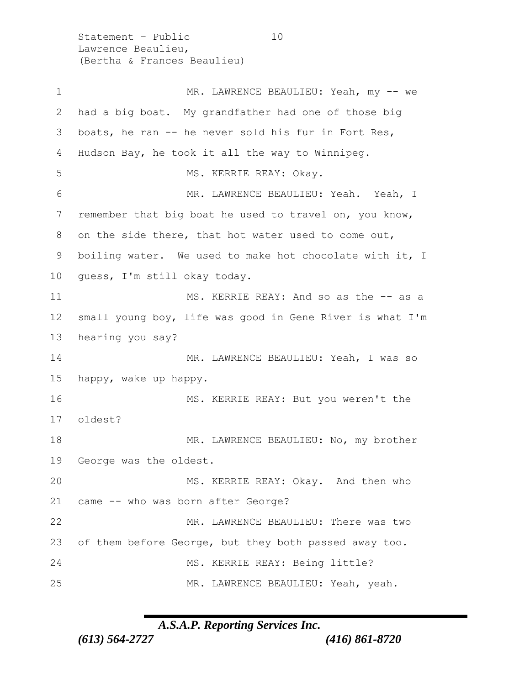Statement - Public 10 Lawrence Beaulieu, (Bertha & Frances Beaulieu)

1 MR. LAWRENCE BEAULIEU: Yeah, my -- we had a big boat. My grandfather had one of those big boats, he ran -- he never sold his fur in Fort Res, Hudson Bay, he took it all the way to Winnipeg. 5 MS. KERRIE REAY: Okay. MR. LAWRENCE BEAULIEU: Yeah. Yeah, I remember that big boat he used to travel on, you know, on the side there, that hot water used to come out, boiling water. We used to make hot chocolate with it, I guess, I'm still okay today. MS. KERRIE REAY: And so as the -- as a small young boy, life was good in Gene River is what I'm hearing you say? MR. LAWRENCE BEAULIEU: Yeah, I was so happy, wake up happy. 16 MS. KERRIE REAY: But you weren't the oldest? 18 MR. LAWRENCE BEAULIEU: No, my brother George was the oldest. 20 MS. KERRIE REAY: Okay. And then who came -- who was born after George? MR. LAWRENCE BEAULIEU: There was two of them before George, but they both passed away too. MS. KERRIE REAY: Being little? MR. LAWRENCE BEAULIEU: Yeah, yeah.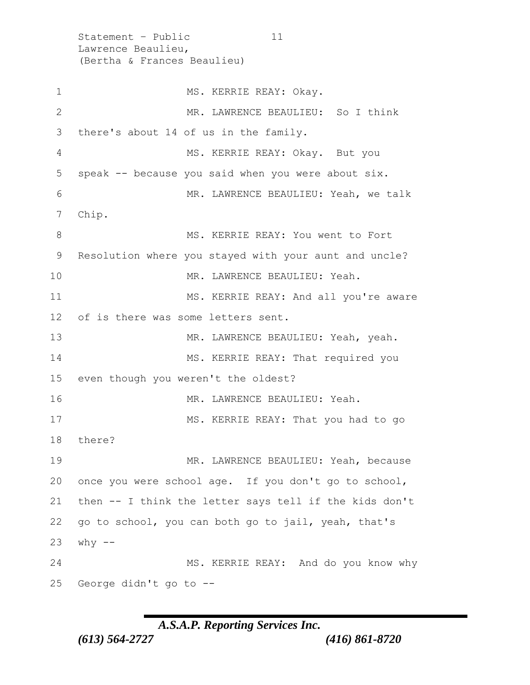Statement - Public 11 Lawrence Beaulieu, (Bertha & Frances Beaulieu) 1 MS. KERRIE REAY: Okay. 2 MR. LAWRENCE BEAULIEU: So I think 3 there's about 14 of us in the family. 4 MS. KERRIE REAY: Okay. But you 5 speak -- because you said when you were about six. 6 MR. LAWRENCE BEAULIEU: Yeah, we talk 7 Chip. 8 MS. KERRIE REAY: You went to Fort 9 Resolution where you stayed with your aunt and uncle? 10 MR. LAWRENCE BEAULIEU: Yeah. 11 MS. KERRIE REAY: And all you're aware 12 of is there was some letters sent. 13 MR. LAWRENCE BEAULIEU: Yeah, yeah. 14 MS. KERRIE REAY: That required you 15 even though you weren't the oldest? 16 MR. LAWRENCE BEAULIEU: Yeah. 17 MS. KERRIE REAY: That you had to go 18 there? 19 MR. LAWRENCE BEAULIEU: Yeah, because 20 once you were school age. If you don't go to school, 21 then -- I think the letter says tell if the kids don't 22 go to school, you can both go to jail, yeah, that's 23 why -- 24 MS. KERRIE REAY: And do you know why 25 George didn't go to --

## *A.S.A.P. Reporting Services Inc.*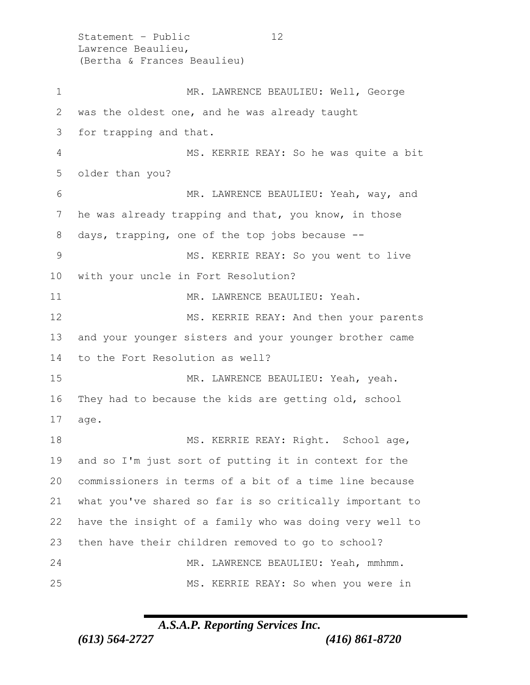Statement – Public 12 Lawrence Beaulieu, (Bertha & Frances Beaulieu) 1 MR. LAWRENCE BEAULIEU: Well, George was the oldest one, and he was already taught for trapping and that. MS. KERRIE REAY: So he was quite a bit older than you? MR. LAWRENCE BEAULIEU: Yeah, way, and he was already trapping and that, you know, in those days, trapping, one of the top jobs because -- MS. KERRIE REAY: So you went to live with your uncle in Fort Resolution? 11 MR. LAWRENCE BEAULIEU: Yeah. 12 MS. KERRIE REAY: And then your parents and your younger sisters and your younger brother came to the Fort Resolution as well? MR. LAWRENCE BEAULIEU: Yeah, yeah. They had to because the kids are getting old, school age. 18 MS. KERRIE REAY: Right. School age, and so I'm just sort of putting it in context for the commissioners in terms of a bit of a time line because what you've shared so far is so critically important to have the insight of a family who was doing very well to then have their children removed to go to school? MR. LAWRENCE BEAULIEU: Yeah, mmhmm. MS. KERRIE REAY: So when you were in

#### *A.S.A.P. Reporting Services Inc.*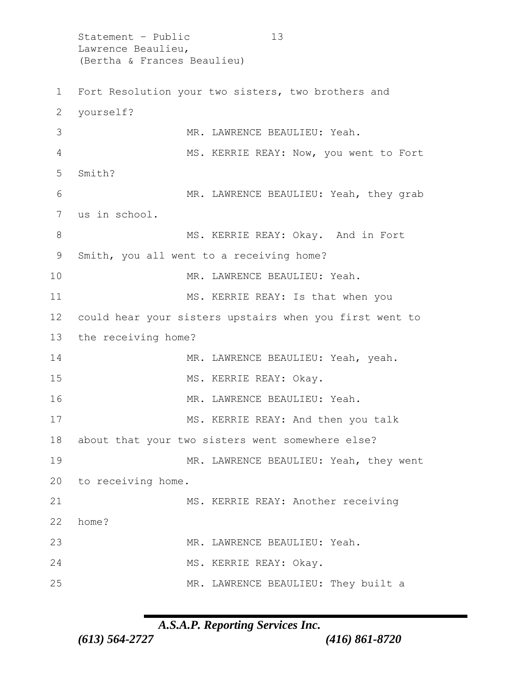Statement – Public 13 Lawrence Beaulieu, (Bertha & Frances Beaulieu) 1 Fort Resolution your two sisters, two brothers and 2 yourself? 3 MR. LAWRENCE BEAULIEU: Yeah. 4 MS. KERRIE REAY: Now, you went to Fort 5 Smith? 6 MR. LAWRENCE BEAULIEU: Yeah, they grab 7 us in school. 8 MS. KERRIE REAY: Okay. And in Fort 9 Smith, you all went to a receiving home? 10 MR. LAWRENCE BEAULIEU: Yeah. 11 MS. KERRIE REAY: Is that when you 12 could hear your sisters upstairs when you first went to 13 the receiving home? 14 MR. LAWRENCE BEAULIEU: Yeah, yeah. 15 MS. KERRIE REAY: Okay. 16 MR. LAWRENCE BEAULIEU: Yeah. 17 MS. KERRIE REAY: And then you talk 18 about that your two sisters went somewhere else? 19 MR. LAWRENCE BEAULIEU: Yeah, they went 20 to receiving home. 21 MS. KERRIE REAY: Another receiving 22 home? 23 MR. LAWRENCE BEAULIEU: Yeah. 24 MS. KERRIE REAY: Okay. 25 MR. LAWRENCE BEAULIEU: They built a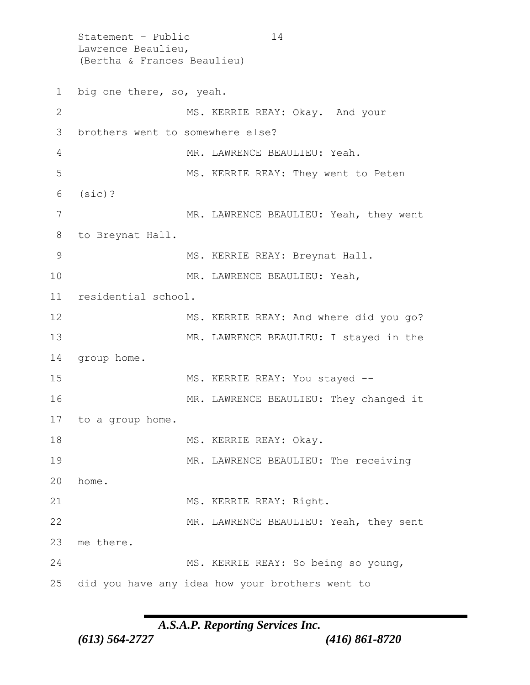Statement - Public 14 Lawrence Beaulieu, (Bertha & Frances Beaulieu) 1 big one there, so, yeah. 2 MS. KERRIE REAY: Okay. And your 3 brothers went to somewhere else? 4 MR. LAWRENCE BEAULIEU: Yeah. 5 MS. KERRIE REAY: They went to Peten 6 (sic)? 7 MR. LAWRENCE BEAULIEU: Yeah, they went 8 to Breynat Hall. 9 MS. KERRIE REAY: Breynat Hall. 10 MR. LAWRENCE BEAULIEU: Yeah, 11 residential school. 12 MS. KERRIE REAY: And where did you go? 13 MR. LAWRENCE BEAULIEU: I stayed in the 14 group home. 15 MS. KERRIE REAY: You stayed -- 16 MR. LAWRENCE BEAULIEU: They changed it 17 to a group home. 18 MS. KERRIE REAY: Okay. 19 MR. LAWRENCE BEAULIEU: The receiving 20 home. 21 MS. KERRIE REAY: Right. 22 MR. LAWRENCE BEAULIEU: Yeah, they sent 23 me there. 24 MS. KERRIE REAY: So being so young, 25 did you have any idea how your brothers went to

*A.S.A.P. Reporting Services Inc.*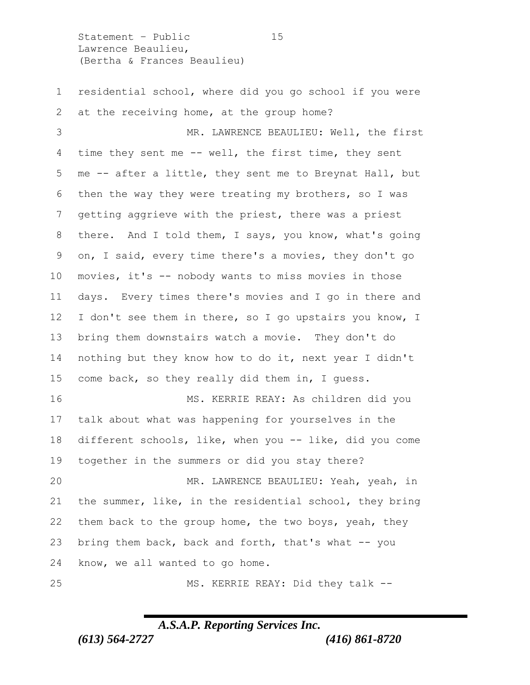Statement – Public 15 Lawrence Beaulieu, (Bertha & Frances Beaulieu)

 residential school, where did you go school if you were 2 at the receiving home, at the group home?

 MR. LAWRENCE BEAULIEU: Well, the first time they sent me -- well, the first time, they sent me -- after a little, they sent me to Breynat Hall, but then the way they were treating my brothers, so I was getting aggrieve with the priest, there was a priest there. And I told them, I says, you know, what's going on, I said, every time there's a movies, they don't go movies, it's -- nobody wants to miss movies in those days. Every times there's movies and I go in there and I don't see them in there, so I go upstairs you know, I bring them downstairs watch a movie. They don't do nothing but they know how to do it, next year I didn't come back, so they really did them in, I guess. MS. KERRIE REAY: As children did you talk about what was happening for yourselves in the different schools, like, when you -- like, did you come together in the summers or did you stay there? MR. LAWRENCE BEAULIEU: Yeah, yeah, in the summer, like, in the residential school, they bring them back to the group home, the two boys, yeah, they

 bring them back, back and forth, that's what -- you know, we all wanted to go home.

MS. KERRIE REAY: Did they talk --

#### *A.S.A.P. Reporting Services Inc.*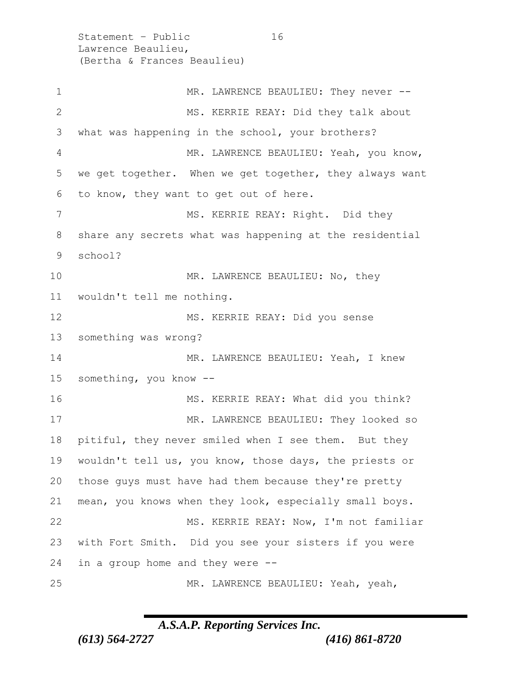Statement - Public 16 Lawrence Beaulieu, (Bertha & Frances Beaulieu) 1 MR. LAWRENCE BEAULIEU: They never -- MS. KERRIE REAY: Did they talk about what was happening in the school, your brothers? MR. LAWRENCE BEAULIEU: Yeah, you know, we get together. When we get together, they always want to know, they want to get out of here. 7 MS. KERRIE REAY: Right. Did they share any secrets what was happening at the residential school? 10 MR. LAWRENCE BEAULIEU: No, they wouldn't tell me nothing. MS. KERRIE REAY: Did you sense something was wrong? 14 MR. LAWRENCE BEAULIEU: Yeah, I knew something, you know -- 16 MS. KERRIE REAY: What did you think? MR. LAWRENCE BEAULIEU: They looked so pitiful, they never smiled when I see them. But they wouldn't tell us, you know, those days, the priests or those guys must have had them because they're pretty mean, you knows when they look, especially small boys. MS. KERRIE REAY: Now, I'm not familiar with Fort Smith. Did you see your sisters if you were in a group home and they were -- MR. LAWRENCE BEAULIEU: Yeah, yeah,

#### *A.S.A.P. Reporting Services Inc.*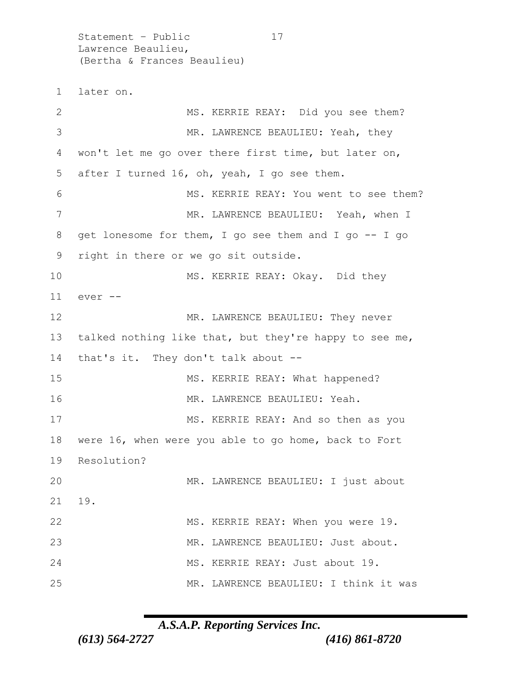Statement - Public 17 Lawrence Beaulieu, (Bertha & Frances Beaulieu) 1 later on. 2 MS. KERRIE REAY: Did you see them? 3 MR. LAWRENCE BEAULIEU: Yeah, they 4 won't let me go over there first time, but later on, 5 after I turned 16, oh, yeah, I go see them. 6 MS. KERRIE REAY: You went to see them? 7 MR. LAWRENCE BEAULIEU: Yeah, when I 8 get lonesome for them, I go see them and I go -- I go 9 right in there or we go sit outside. 10 MS. KERRIE REAY: Okay. Did they 11 ever -- 12 MR. LAWRENCE BEAULIEU: They never 13 talked nothing like that, but they're happy to see me, 14 that's it. They don't talk about -- 15 MS. KERRIE REAY: What happened? 16 MR. LAWRENCE BEAULIEU: Yeah. 17 MS. KERRIE REAY: And so then as you 18 were 16, when were you able to go home, back to Fort 19 Resolution? 20 MR. LAWRENCE BEAULIEU: I just about 21 19. 22 MS. KERRIE REAY: When you were 19. 23 MR. LAWRENCE BEAULIEU: Just about. 24 MS. KERRIE REAY: Just about 19. 25 MR. LAWRENCE BEAULIEU: I think it was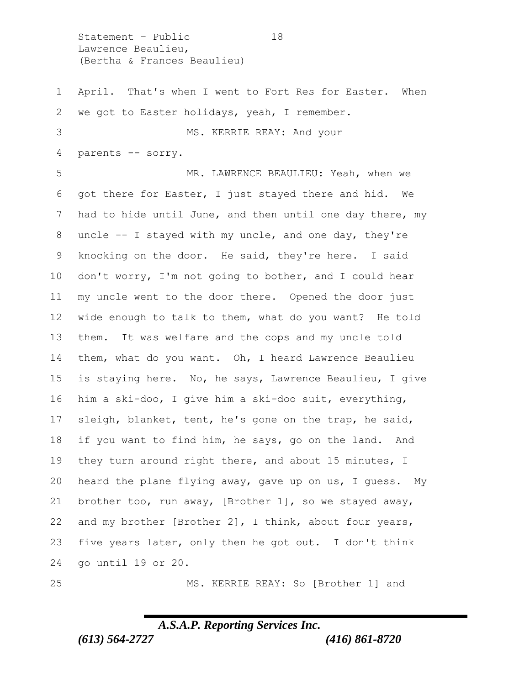Statement - Public 18 Lawrence Beaulieu, (Bertha & Frances Beaulieu)

 April. That's when I went to Fort Res for Easter. When we got to Easter holidays, yeah, I remember. MS. KERRIE REAY: And your parents -- sorry. MR. LAWRENCE BEAULIEU: Yeah, when we got there for Easter, I just stayed there and hid. We had to hide until June, and then until one day there, my uncle -- I stayed with my uncle, and one day, they're knocking on the door. He said, they're here. I said don't worry, I'm not going to bother, and I could hear my uncle went to the door there. Opened the door just wide enough to talk to them, what do you want? He told them. It was welfare and the cops and my uncle told them, what do you want. Oh, I heard Lawrence Beaulieu is staying here. No, he says, Lawrence Beaulieu, I give him a ski-doo, I give him a ski-doo suit, everything, sleigh, blanket, tent, he's gone on the trap, he said, if you want to find him, he says, go on the land. And they turn around right there, and about 15 minutes, I heard the plane flying away, gave up on us, I guess. My brother too, run away, [Brother 1], so we stayed away, and my brother [Brother 2], I think, about four years, five years later, only then he got out. I don't think go until 19 or 20.

#### *A.S.A.P. Reporting Services Inc. (613) 564-2727 (416) 861-8720*

MS. KERRIE REAY: So [Brother 1] and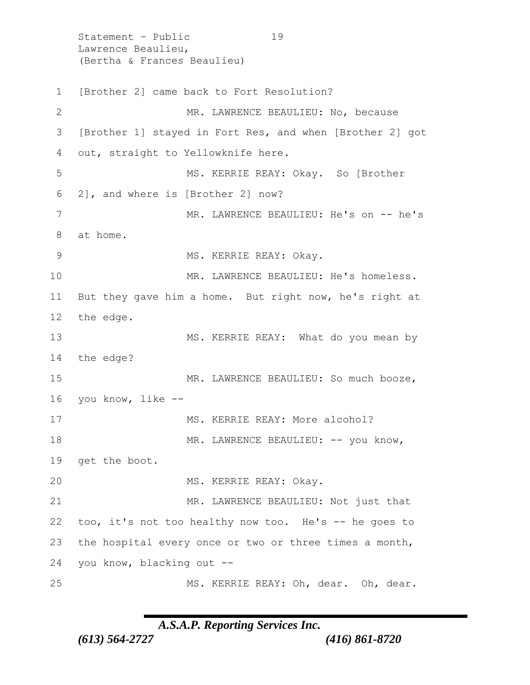Statement - Public 19 Lawrence Beaulieu, (Bertha & Frances Beaulieu) 1 [Brother 2] came back to Fort Resolution? 2 MR. LAWRENCE BEAULIEU: No, because 3 [Brother 1] stayed in Fort Res, and when [Brother 2] got 4 out, straight to Yellowknife here. 5 MS. KERRIE REAY: Okay. So [Brother 6 2], and where is [Brother 2] now? 7 MR. LAWRENCE BEAULIEU: He's on -- he's 8 at home. 9 MS. KERRIE REAY: Okay. 10 MR. LAWRENCE BEAULIEU: He's homeless. 11 But they gave him a home. But right now, he's right at 12 the edge. 13 MS. KERRIE REAY: What do you mean by 14 the edge? 15 MR. LAWRENCE BEAULIEU: So much booze, 16 you know, like -- 17 MS. KERRIE REAY: More alcohol? 18 MR. LAWRENCE BEAULIEU: -- you know, 19 get the boot. 20 MS. KERRIE REAY: Okay. 21 MR. LAWRENCE BEAULIEU: Not just that 22 too, it's not too healthy now too. He's -- he goes to 23 the hospital every once or two or three times a month, 24 you know, blacking out -- 25 MS. KERRIE REAY: Oh, dear. Oh, dear.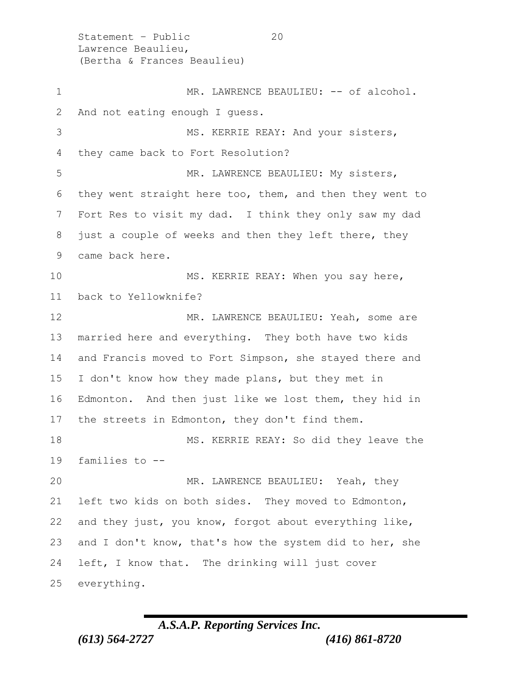Statement - Public 20 Lawrence Beaulieu, (Bertha & Frances Beaulieu) 1 MR. LAWRENCE BEAULIEU: -- of alcohol. And not eating enough I guess. 3 MS. KERRIE REAY: And your sisters, they came back to Fort Resolution? 5 MR. LAWRENCE BEAULIEU: My sisters, they went straight here too, them, and then they went to Fort Res to visit my dad. I think they only saw my dad just a couple of weeks and then they left there, they came back here. 10 MS. KERRIE REAY: When you say here, back to Yellowknife? 12 MR. LAWRENCE BEAULIEU: Yeah, some are married here and everything. They both have two kids and Francis moved to Fort Simpson, she stayed there and I don't know how they made plans, but they met in Edmonton. And then just like we lost them, they hid in 17 the streets in Edmonton, they don't find them. MS. KERRIE REAY: So did they leave the families to -- MR. LAWRENCE BEAULIEU: Yeah, they left two kids on both sides. They moved to Edmonton, and they just, you know, forgot about everything like, and I don't know, that's how the system did to her, she left, I know that. The drinking will just cover everything.

## *A.S.A.P. Reporting Services Inc. (613) 564-2727 (416) 861-8720*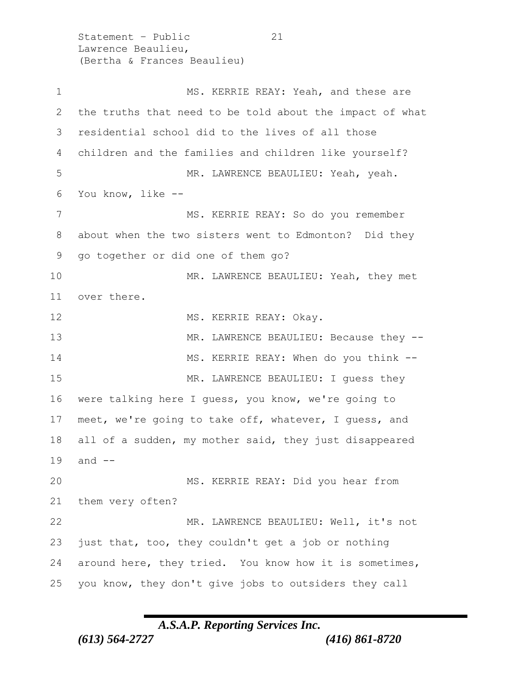Statement – Public 21 Lawrence Beaulieu, (Bertha & Frances Beaulieu)

1 MS. KERRIE REAY: Yeah, and these are the truths that need to be told about the impact of what residential school did to the lives of all those children and the families and children like yourself? MR. LAWRENCE BEAULIEU: Yeah, yeah. You know, like -- MS. KERRIE REAY: So do you remember about when the two sisters went to Edmonton? Did they go together or did one of them go? MR. LAWRENCE BEAULIEU: Yeah, they met over there. 12 MS. KERRIE REAY: Okay. 13 MR. LAWRENCE BEAULIEU: Because they -- MS. KERRIE REAY: When do you think -- 15 MR. LAWRENCE BEAULIEU: I quess they were talking here I guess, you know, we're going to meet, we're going to take off, whatever, I guess, and all of a sudden, my mother said, they just disappeared and -- MS. KERRIE REAY: Did you hear from them very often? MR. LAWRENCE BEAULIEU: Well, it's not just that, too, they couldn't get a job or nothing around here, they tried. You know how it is sometimes, you know, they don't give jobs to outsiders they call

#### *A.S.A.P. Reporting Services Inc.*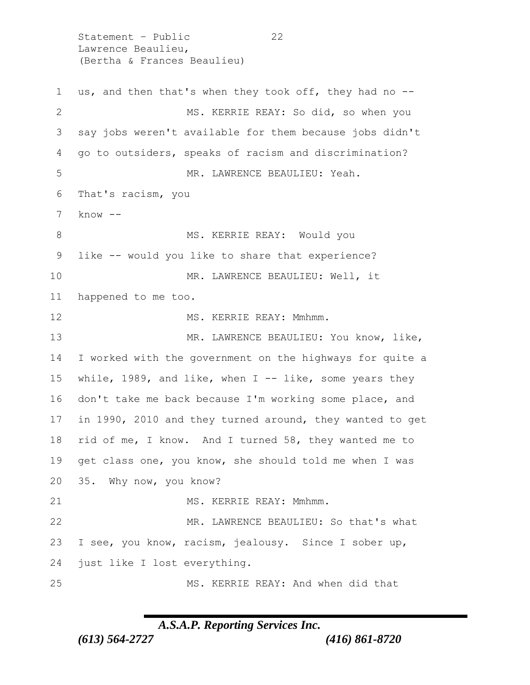Statement – Public 22 Lawrence Beaulieu, (Bertha & Frances Beaulieu) us, and then that's when they took off, they had no -- MS. KERRIE REAY: So did, so when you say jobs weren't available for them because jobs didn't go to outsiders, speaks of racism and discrimination? MR. LAWRENCE BEAULIEU: Yeah. That's racism, you know -- 8 MS. KERRIE REAY: Would you like -- would you like to share that experience? 10 MR. LAWRENCE BEAULIEU: Well, it happened to me too. 12 MS. KERRIE REAY: Mmhmm. 13 MR. LAWRENCE BEAULIEU: You know, like, I worked with the government on the highways for quite a 15 while, 1989, and like, when I -- like, some years they don't take me back because I'm working some place, and in 1990, 2010 and they turned around, they wanted to get rid of me, I know. And I turned 58, they wanted me to get class one, you know, she should told me when I was 35. Why now, you know? 21 MS. KERRIE REAY: Mmhmm. MR. LAWRENCE BEAULIEU: So that's what I see, you know, racism, jealousy. Since I sober up, just like I lost everything. MS. KERRIE REAY: And when did that

#### *A.S.A.P. Reporting Services Inc.*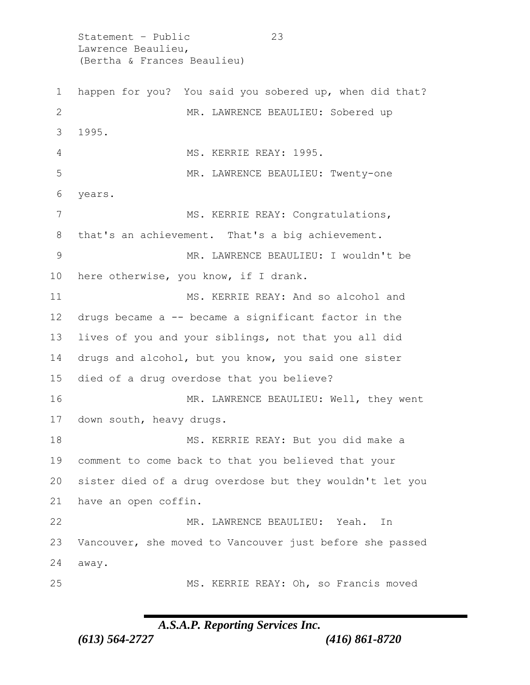Statement - Public 23 Lawrence Beaulieu, (Bertha & Frances Beaulieu)

 happen for you? You said you sobered up, when did that? MR. LAWRENCE BEAULIEU: Sobered up 1995. MS. KERRIE REAY: 1995. MR. LAWRENCE BEAULIEU: Twenty-one years. 7 MS. KERRIE REAY: Congratulations, that's an achievement. That's a big achievement. MR. LAWRENCE BEAULIEU: I wouldn't be here otherwise, you know, if I drank. MS. KERRIE REAY: And so alcohol and drugs became a -- became a significant factor in the lives of you and your siblings, not that you all did drugs and alcohol, but you know, you said one sister died of a drug overdose that you believe? 16 MR. LAWRENCE BEAULIEU: Well, they went down south, heavy drugs. 18 MS. KERRIE REAY: But you did make a comment to come back to that you believed that your sister died of a drug overdose but they wouldn't let you have an open coffin. MR. LAWRENCE BEAULIEU: Yeah. In Vancouver, she moved to Vancouver just before she passed away. MS. KERRIE REAY: Oh, so Francis moved

## *A.S.A.P. Reporting Services Inc.*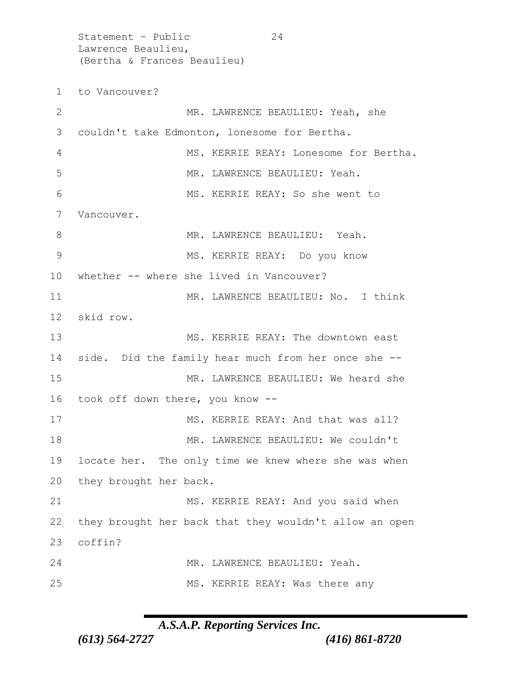Statement – Public 24 Lawrence Beaulieu, (Bertha & Frances Beaulieu) to Vancouver? MR. LAWRENCE BEAULIEU: Yeah, she couldn't take Edmonton, lonesome for Bertha. MS. KERRIE REAY: Lonesome for Bertha. 5 MR. LAWRENCE BEAULIEU: Yeah. MS. KERRIE REAY: So she went to Vancouver. 8 MR. LAWRENCE BEAULIEU: Yeah. MS. KERRIE REAY: Do you know whether -- where she lived in Vancouver? 11 MR. LAWRENCE BEAULIEU: No. I think skid row. 13 MS. KERRIE REAY: The downtown east side. Did the family hear much from her once she -- 15 MR. LAWRENCE BEAULIEU: We heard she took off down there, you know -- 17 MS. KERRIE REAY: And that was all? 18 MR. LAWRENCE BEAULIEU: We couldn't locate her. The only time we knew where she was when they brought her back. MS. KERRIE REAY: And you said when they brought her back that they wouldn't allow an open 23 coffin? MR. LAWRENCE BEAULIEU: Yeah. MS. KERRIE REAY: Was there any

## *A.S.A.P. Reporting Services Inc.*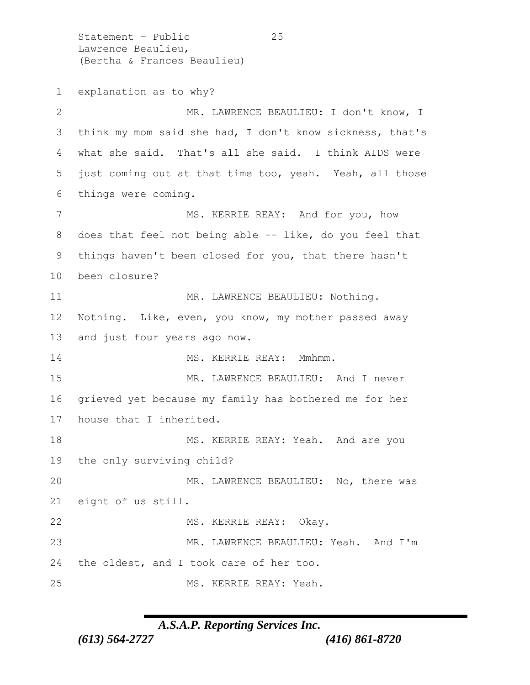Statement - Public 25 Lawrence Beaulieu, (Bertha & Frances Beaulieu) explanation as to why? 2 MR. LAWRENCE BEAULIEU: I don't know, I think my mom said she had, I don't know sickness, that's what she said. That's all she said. I think AIDS were just coming out at that time too, yeah. Yeah, all those things were coming. 7 MS. KERRIE REAY: And for you, how 8 does that feel not being able -- like, do you feel that things haven't been closed for you, that there hasn't been closure? 11 MR. LAWRENCE BEAULIEU: Nothing. Nothing. Like, even, you know, my mother passed away and just four years ago now. 14 MS. KERRIE REAY: Mmhmm. 15 MR. LAWRENCE BEAULIEU: And I never grieved yet because my family has bothered me for her house that I inherited. 18 MS. KERRIE REAY: Yeah. And are you the only surviving child? MR. LAWRENCE BEAULIEU: No, there was eight of us still. 22 MS. KERRIE REAY: Okay. MR. LAWRENCE BEAULIEU: Yeah. And I'm the oldest, and I took care of her too. MS. KERRIE REAY: Yeah.

#### *A.S.A.P. Reporting Services Inc.*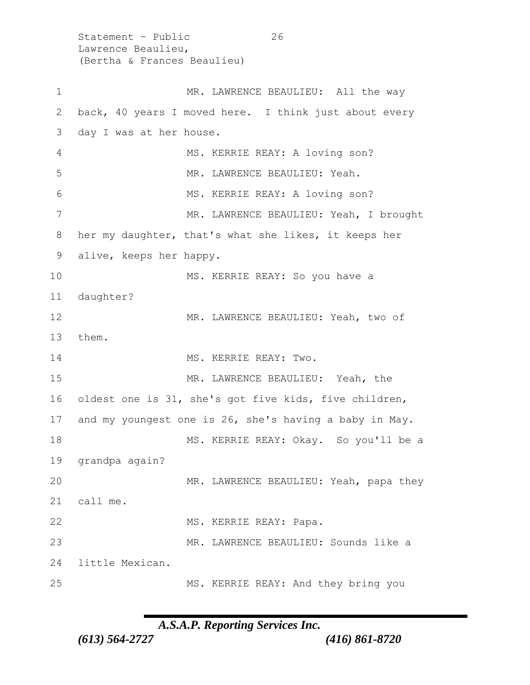Statement - Public 26 Lawrence Beaulieu, (Bertha & Frances Beaulieu) 1 MR. LAWRENCE BEAULIEU: All the way back, 40 years I moved here. I think just about every day I was at her house. MS. KERRIE REAY: A loving son? MR. LAWRENCE BEAULIEU: Yeah. 6 MS. KERRIE REAY: A loving son? MR. LAWRENCE BEAULIEU: Yeah, I brought her my daughter, that's what she likes, it keeps her alive, keeps her happy. MS. KERRIE REAY: So you have a daughter? MR. LAWRENCE BEAULIEU: Yeah, two of them. 14 MS. KERRIE REAY: Two. MR. LAWRENCE BEAULIEU: Yeah, the oldest one is 31, she's got five kids, five children, and my youngest one is 26, she's having a baby in May. MS. KERRIE REAY: Okay. So you'll be a grandpa again? MR. LAWRENCE BEAULIEU: Yeah, papa they call me. 22 MS. KERRIE REAY: Papa. MR. LAWRENCE BEAULIEU: Sounds like a little Mexican. MS. KERRIE REAY: And they bring you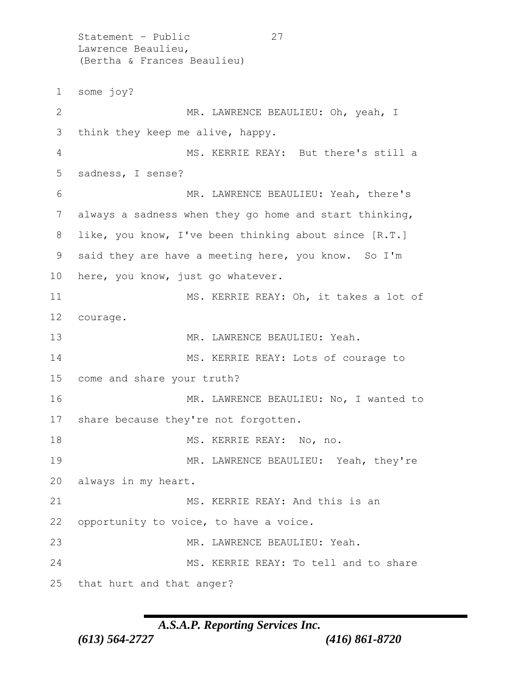Statement - Public 27 Lawrence Beaulieu, (Bertha & Frances Beaulieu) some joy? MR. LAWRENCE BEAULIEU: Oh, yeah, I think they keep me alive, happy. MS. KERRIE REAY: But there's still a sadness, I sense? MR. LAWRENCE BEAULIEU: Yeah, there's always a sadness when they go home and start thinking, like, you know, I've been thinking about since [R.T.] said they are have a meeting here, you know. So I'm here, you know, just go whatever. MS. KERRIE REAY: Oh, it takes a lot of courage. 13 MR. LAWRENCE BEAULIEU: Yeah. 14 MS. KERRIE REAY: Lots of courage to come and share your truth? 16 MR. LAWRENCE BEAULIEU: No, I wanted to share because they're not forgotten. 18 MS. KERRIE REAY: No, no. MR. LAWRENCE BEAULIEU: Yeah, they're always in my heart. 21 MS. KERRIE REAY: And this is an opportunity to voice, to have a voice. MR. LAWRENCE BEAULIEU: Yeah. MS. KERRIE REAY: To tell and to share that hurt and that anger?

#### *A.S.A.P. Reporting Services Inc.*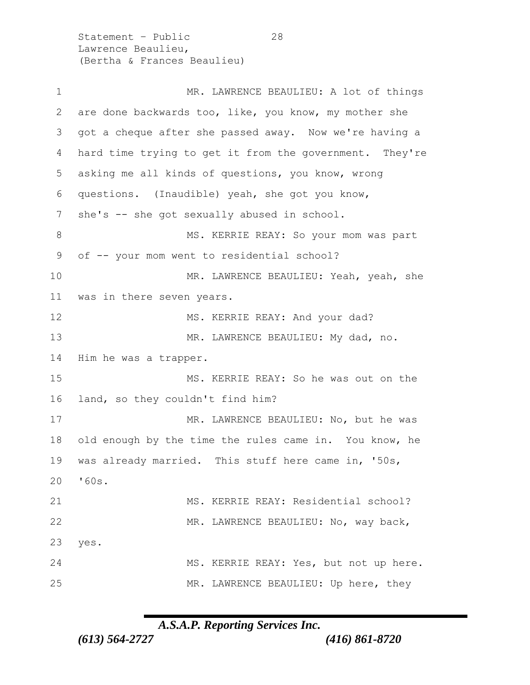Statement - Public 28 Lawrence Beaulieu, (Bertha & Frances Beaulieu)

1 MR. LAWRENCE BEAULIEU: A lot of things are done backwards too, like, you know, my mother she got a cheque after she passed away. Now we're having a hard time trying to get it from the government. They're asking me all kinds of questions, you know, wrong questions. (Inaudible) yeah, she got you know, 7 she's -- she got sexually abused in school. 8 MS. KERRIE REAY: So your mom was part of -- your mom went to residential school? MR. LAWRENCE BEAULIEU: Yeah, yeah, she was in there seven years. 12 MS. KERRIE REAY: And your dad? 13 MR. LAWRENCE BEAULIEU: My dad, no. Him he was a trapper. MS. KERRIE REAY: So he was out on the land, so they couldn't find him? MR. LAWRENCE BEAULIEU: No, but he was old enough by the time the rules came in. You know, he was already married. This stuff here came in, '50s, '60s. MS. KERRIE REAY: Residential school? MR. LAWRENCE BEAULIEU: No, way back, yes. MS. KERRIE REAY: Yes, but not up here. MR. LAWRENCE BEAULIEU: Up here, they

*A.S.A.P. Reporting Services Inc.*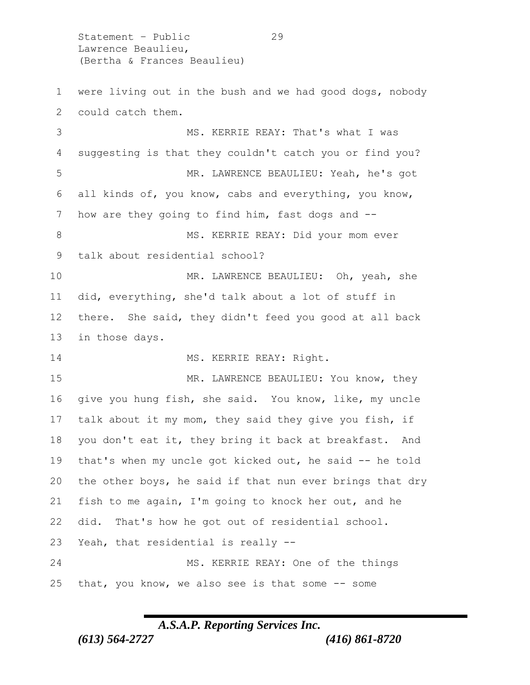Statement – Public 29 Lawrence Beaulieu, (Bertha & Frances Beaulieu)

 were living out in the bush and we had good dogs, nobody could catch them. MS. KERRIE REAY: That's what I was suggesting is that they couldn't catch you or find you? MR. LAWRENCE BEAULIEU: Yeah, he's got all kinds of, you know, cabs and everything, you know, 7 how are they going to find him, fast dogs and --8 MS. KERRIE REAY: Did your mom ever talk about residential school? MR. LAWRENCE BEAULIEU: Oh, yeah, she did, everything, she'd talk about a lot of stuff in there. She said, they didn't feed you good at all back in those days. 14 MS. KERRIE REAY: Right. 15 MR. LAWRENCE BEAULIEU: You know, they give you hung fish, she said. You know, like, my uncle talk about it my mom, they said they give you fish, if you don't eat it, they bring it back at breakfast. And that's when my uncle got kicked out, he said -- he told the other boys, he said if that nun ever brings that dry fish to me again, I'm going to knock her out, and he did. That's how he got out of residential school. Yeah, that residential is really -- MS. KERRIE REAY: One of the things that, you know, we also see is that some -- some

## *A.S.A.P. Reporting Services Inc.*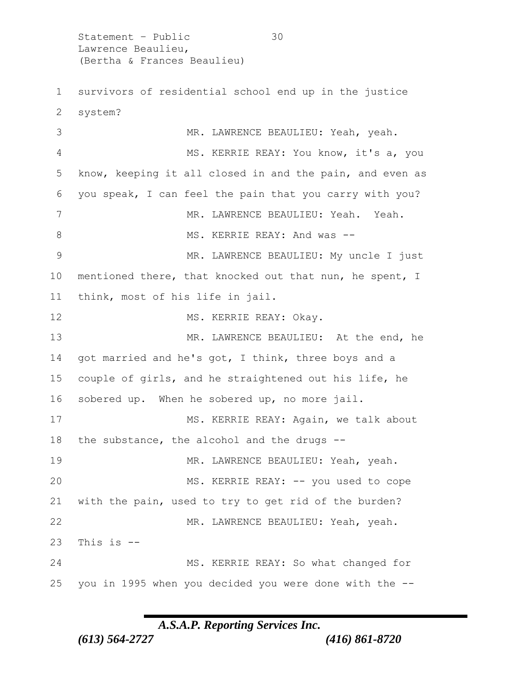Statement – Public 30 Lawrence Beaulieu, (Bertha & Frances Beaulieu) survivors of residential school end up in the justice system? MR. LAWRENCE BEAULIEU: Yeah, yeah. MS. KERRIE REAY: You know, it's a, you know, keeping it all closed in and the pain, and even as you speak, I can feel the pain that you carry with you? 7 MR. LAWRENCE BEAULIEU: Yeah. Yeah. 8 MS. KERRIE REAY: And was -- MR. LAWRENCE BEAULIEU: My uncle I just mentioned there, that knocked out that nun, he spent, I think, most of his life in jail. 12 MS. KERRIE REAY: Okay. 13 MR. LAWRENCE BEAULIEU: At the end, he got married and he's got, I think, three boys and a couple of girls, and he straightened out his life, he sobered up. When he sobered up, no more jail. MS. KERRIE REAY: Again, we talk about the substance, the alcohol and the drugs -- 19 MR. LAWRENCE BEAULIEU: Yeah, yeah. MS. KERRIE REAY: -- you used to cope with the pain, used to try to get rid of the burden? MR. LAWRENCE BEAULIEU: Yeah, yeah. This is  $-$  MS. KERRIE REAY: So what changed for you in 1995 when you decided you were done with the --

#### *A.S.A.P. Reporting Services Inc.*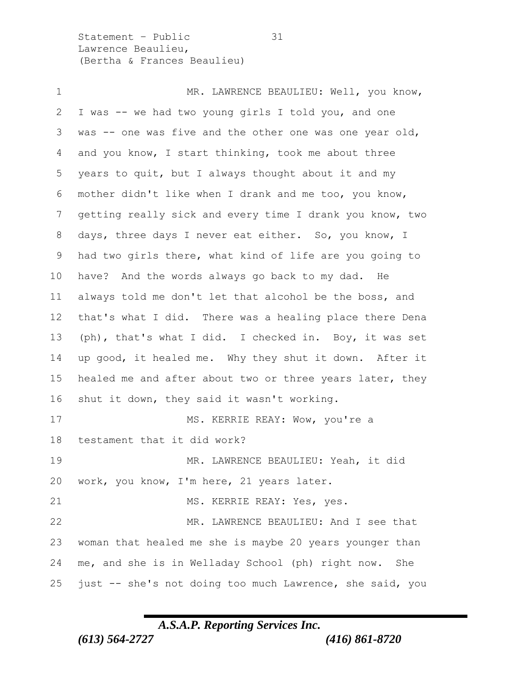Statement – Public 31 Lawrence Beaulieu, (Bertha & Frances Beaulieu)

1 MR. LAWRENCE BEAULIEU: Well, you know, I was -- we had two young girls I told you, and one was -- one was five and the other one was one year old, and you know, I start thinking, took me about three years to quit, but I always thought about it and my mother didn't like when I drank and me too, you know, getting really sick and every time I drank you know, two days, three days I never eat either. So, you know, I had two girls there, what kind of life are you going to have? And the words always go back to my dad. He always told me don't let that alcohol be the boss, and that's what I did. There was a healing place there Dena (ph), that's what I did. I checked in. Boy, it was set up good, it healed me. Why they shut it down. After it 15 healed me and after about two or three years later, they shut it down, they said it wasn't working. MS. KERRIE REAY: Wow, you're a testament that it did work? MR. LAWRENCE BEAULIEU: Yeah, it did work, you know, I'm here, 21 years later. 21 MS. KERRIE REAY: Yes, yes. MR. LAWRENCE BEAULIEU: And I see that woman that healed me she is maybe 20 years younger than me, and she is in Welladay School (ph) right now. She just -- she's not doing too much Lawrence, she said, you

#### *A.S.A.P. Reporting Services Inc.*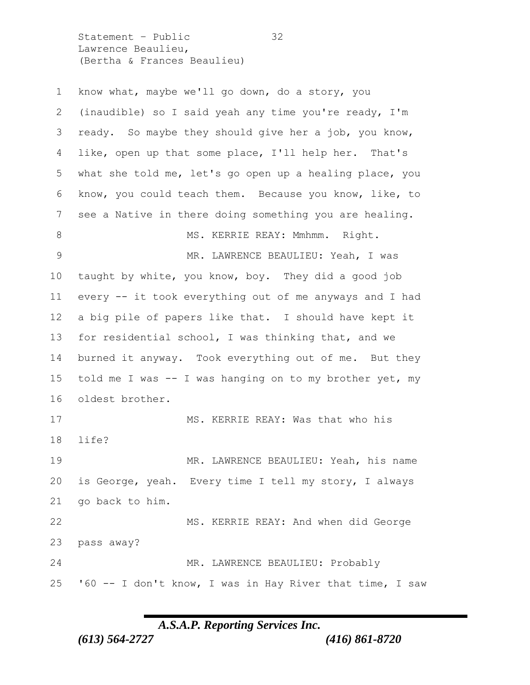Statement - Public 32 Lawrence Beaulieu, (Bertha & Frances Beaulieu)

| $\mathbf 1$   | know what, maybe we'll go down, do a story, you          |
|---------------|----------------------------------------------------------|
| 2             | (inaudible) so I said yeah any time you're ready, I'm    |
| 3             | ready. So maybe they should give her a job, you know,    |
| 4             | like, open up that some place, I'll help her. That's     |
| 5             | what she told me, let's go open up a healing place, you  |
| 6             | know, you could teach them. Because you know, like, to   |
| 7             | see a Native in there doing something you are healing.   |
| 8             | MS. KERRIE REAY: Mmhmm. Right.                           |
| $\mathcal{G}$ | MR. LAWRENCE BEAULIEU: Yeah, I was                       |
| 10            | taught by white, you know, boy. They did a good job      |
| 11            | every -- it took everything out of me anyways and I had  |
| 12            | a big pile of papers like that. I should have kept it    |
| 13            | for residential school, I was thinking that, and we      |
| 14            | burned it anyway. Took everything out of me. But they    |
| 15            | told me I was -- I was hanging on to my brother yet, my  |
| 16            | oldest brother.                                          |
| 17            | MS. KERRIE REAY: Was that who his                        |
| 18            | life?                                                    |
| 19            | MR. LAWRENCE BEAULIEU: Yeah, his name                    |
| 20            | is George, yeah. Every time I tell my story, I always    |
| 21            | go back to him.                                          |
| 22            | MS. KERRIE REAY: And when did George                     |
| 23            | pass away?                                               |
| 24            | MR. LAWRENCE BEAULIEU: Probably                          |
| 25            | '60 -- I don't know, I was in Hay River that time, I saw |

*A.S.A.P. Reporting Services Inc.*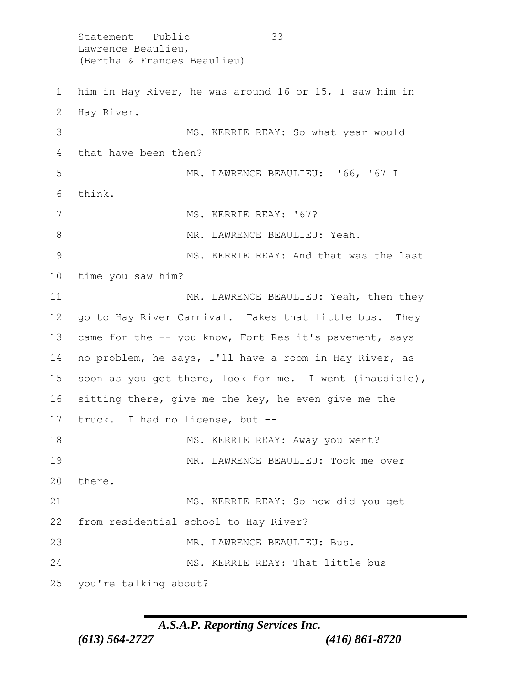Statement – Public 33 Lawrence Beaulieu, (Bertha & Frances Beaulieu) 1 him in Hay River, he was around 16 or 15, I saw him in 2 Hay River. 3 MS. KERRIE REAY: So what year would 4 that have been then? 5 MR. LAWRENCE BEAULIEU: '66, '67 I 6 think. 7 MS. KERRIE REAY: '67? 8 MR. LAWRENCE BEAULIEU: Yeah. 9 MS. KERRIE REAY: And that was the last 10 time you saw him? 11 MR. LAWRENCE BEAULIEU: Yeah, then they 12 go to Hay River Carnival. Takes that little bus. They 13 came for the -- you know, Fort Res it's pavement, says 14 no problem, he says, I'll have a room in Hay River, as 15 soon as you get there, look for me. I went (inaudible), 16 sitting there, give me the key, he even give me the 17 truck. I had no license, but -- 18 MS. KERRIE REAY: Away you went? 19 MR. LAWRENCE BEAULIEU: Took me over 20 there. 21 MS. KERRIE REAY: So how did you get 22 from residential school to Hay River? 23 MR. LAWRENCE BEAULIEU: Bus. 24 MS. KERRIE REAY: That little bus 25 you're talking about?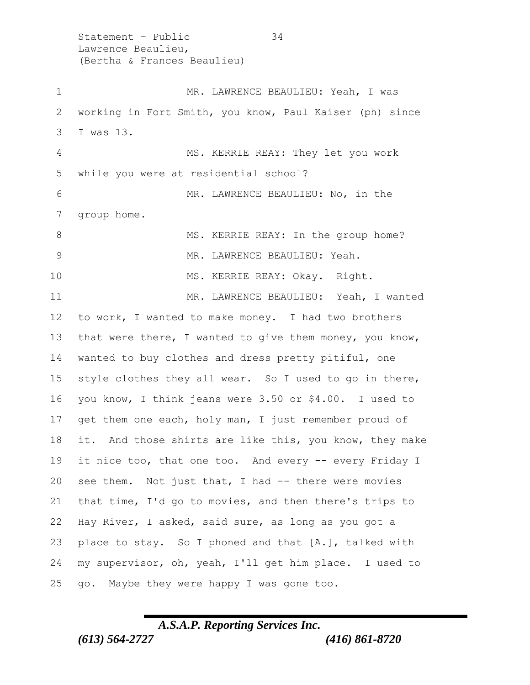Statement – Public 34 Lawrence Beaulieu, (Bertha & Frances Beaulieu) 1 MR. LAWRENCE BEAULIEU: Yeah, I was working in Fort Smith, you know, Paul Kaiser (ph) since I was 13. MS. KERRIE REAY: They let you work while you were at residential school? MR. LAWRENCE BEAULIEU: No, in the group home. 8 MS. KERRIE REAY: In the group home? 9 MR. LAWRENCE BEAULIEU: Yeah. 10 MS. KERRIE REAY: Okay. Right. MR. LAWRENCE BEAULIEU: Yeah, I wanted to work, I wanted to make money. I had two brothers that were there, I wanted to give them money, you know, wanted to buy clothes and dress pretty pitiful, one style clothes they all wear. So I used to go in there, you know, I think jeans were 3.50 or \$4.00. I used to 17 get them one each, holy man, I just remember proud of it. And those shirts are like this, you know, they make it nice too, that one too. And every -- every Friday I see them. Not just that, I had -- there were movies that time, I'd go to movies, and then there's trips to Hay River, I asked, said sure, as long as you got a place to stay. So I phoned and that [A.], talked with my supervisor, oh, yeah, I'll get him place. I used to go. Maybe they were happy I was gone too.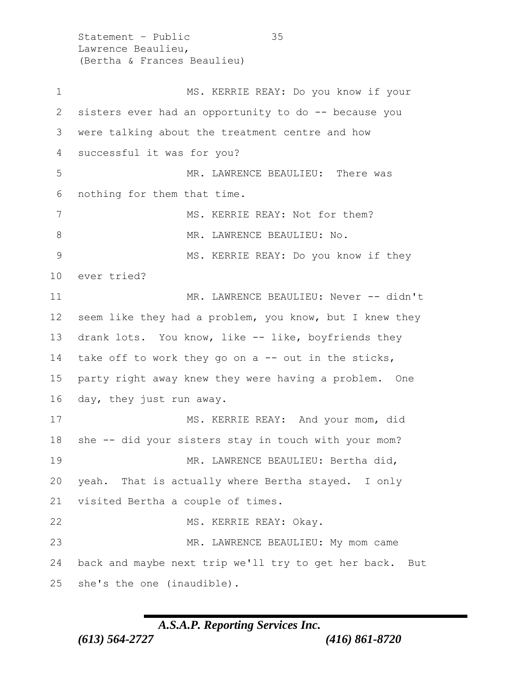Statement – Public 35 Lawrence Beaulieu, (Bertha & Frances Beaulieu) MS. KERRIE REAY: Do you know if your sisters ever had an opportunity to do -- because you were talking about the treatment centre and how successful it was for you? MR. LAWRENCE BEAULIEU: There was nothing for them that time. 7 MS. KERRIE REAY: Not for them? 8 MR. LAWRENCE BEAULIEU: No. MS. KERRIE REAY: Do you know if they ever tried? 11 MR. LAWRENCE BEAULIEU: Never -- didn't seem like they had a problem, you know, but I knew they drank lots. You know, like -- like, boyfriends they take off to work they go on a -- out in the sticks, party right away knew they were having a problem. One day, they just run away. 17 MS. KERRIE REAY: And your mom, did she -- did your sisters stay in touch with your mom? 19 MR. LAWRENCE BEAULIEU: Bertha did, yeah. That is actually where Bertha stayed. I only visited Bertha a couple of times. 22 MS. KERRIE REAY: Okay. 23 MR. LAWRENCE BEAULIEU: My mom came back and maybe next trip we'll try to get her back. But she's the one (inaudible).

#### *A.S.A.P. Reporting Services Inc.*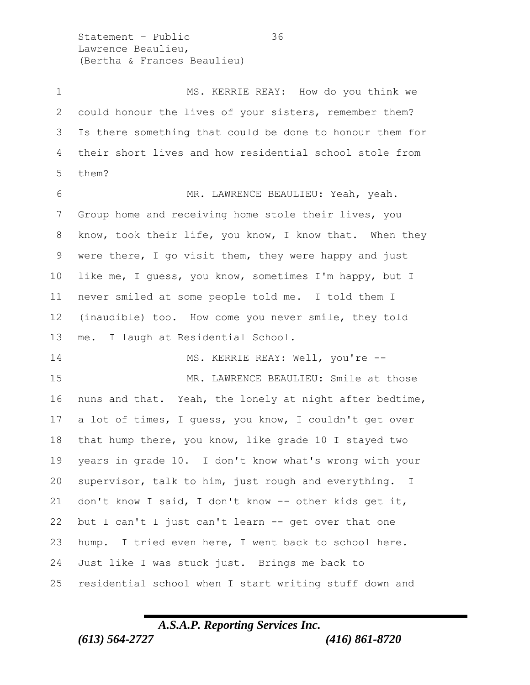Statement – Public 36 Lawrence Beaulieu, (Bertha & Frances Beaulieu)

1 MS. KERRIE REAY: How do you think we could honour the lives of your sisters, remember them? Is there something that could be done to honour them for their short lives and how residential school stole from them? MR. LAWRENCE BEAULIEU: Yeah, yeah. Group home and receiving home stole their lives, you know, took their life, you know, I know that. When they were there, I go visit them, they were happy and just like me, I guess, you know, sometimes I'm happy, but I never smiled at some people told me. I told them I (inaudible) too. How come you never smile, they told me. I laugh at Residential School. 14 MS. KERRIE REAY: Well, you're -- MR. LAWRENCE BEAULIEU: Smile at those nuns and that. Yeah, the lonely at night after bedtime, a lot of times, I guess, you know, I couldn't get over that hump there, you know, like grade 10 I stayed two years in grade 10. I don't know what's wrong with your supervisor, talk to him, just rough and everything. I don't know I said, I don't know -- other kids get it, but I can't I just can't learn -- get over that one hump. I tried even here, I went back to school here. Just like I was stuck just. Brings me back to residential school when I start writing stuff down and

## *A.S.A.P. Reporting Services Inc. (613) 564-2727 (416) 861-8720*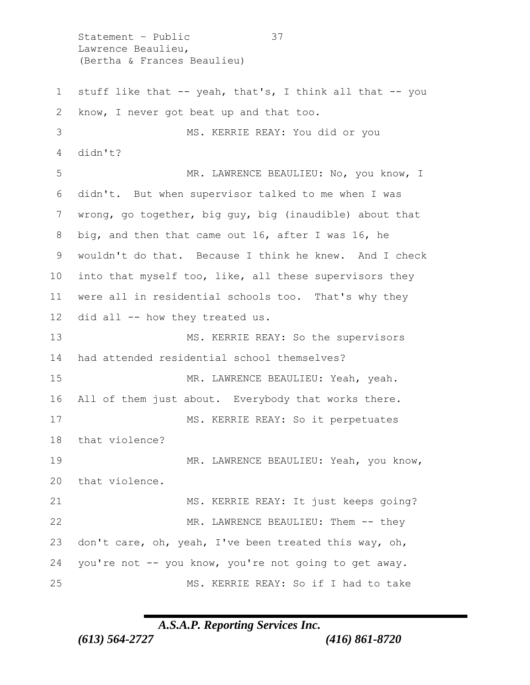Lawrence Beaulieu, (Bertha & Frances Beaulieu) stuff like that -- yeah, that's, I think all that -- you know, I never got beat up and that too. MS. KERRIE REAY: You did or you didn't? 5 MR. LAWRENCE BEAULIEU: No, you know, I didn't. But when supervisor talked to me when I was wrong, go together, big guy, big (inaudible) about that big, and then that came out 16, after I was 16, he wouldn't do that. Because I think he knew. And I check into that myself too, like, all these supervisors they were all in residential schools too. That's why they did all -- how they treated us. 13 MS. KERRIE REAY: So the supervisors had attended residential school themselves? MR. LAWRENCE BEAULIEU: Yeah, yeah. 16 All of them just about. Everybody that works there. MS. KERRIE REAY: So it perpetuates that violence? 19 MR. LAWRENCE BEAULIEU: Yeah, you know, that violence. MS. KERRIE REAY: It just keeps going? 22 MR. LAWRENCE BEAULIEU: Them -- they don't care, oh, yeah, I've been treated this way, oh, you're not -- you know, you're not going to get away. MS. KERRIE REAY: So if I had to take

Statement – Public 37

*A.S.A.P. Reporting Services Inc.*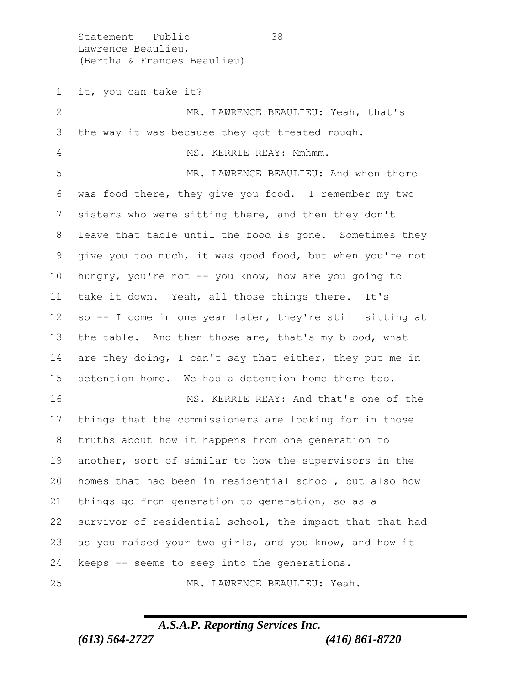Statement – Public 38 Lawrence Beaulieu, (Bertha & Frances Beaulieu)

 it, you can take it? MR. LAWRENCE BEAULIEU: Yeah, that's the way it was because they got treated rough. 4 MS. KERRIE REAY: Mmhmm. 5 MR. LAWRENCE BEAULIEU: And when there was food there, they give you food. I remember my two sisters who were sitting there, and then they don't leave that table until the food is gone. Sometimes they give you too much, it was good food, but when you're not hungry, you're not -- you know, how are you going to take it down. Yeah, all those things there. It's so -- I come in one year later, they're still sitting at 13 the table. And then those are, that's my blood, what are they doing, I can't say that either, they put me in detention home. We had a detention home there too. MS. KERRIE REAY: And that's one of the things that the commissioners are looking for in those truths about how it happens from one generation to another, sort of similar to how the supervisors in the homes that had been in residential school, but also how things go from generation to generation, so as a survivor of residential school, the impact that that had as you raised your two girls, and you know, and how it keeps -- seems to seep into the generations. MR. LAWRENCE BEAULIEU: Yeah.

#### *A.S.A.P. Reporting Services Inc.*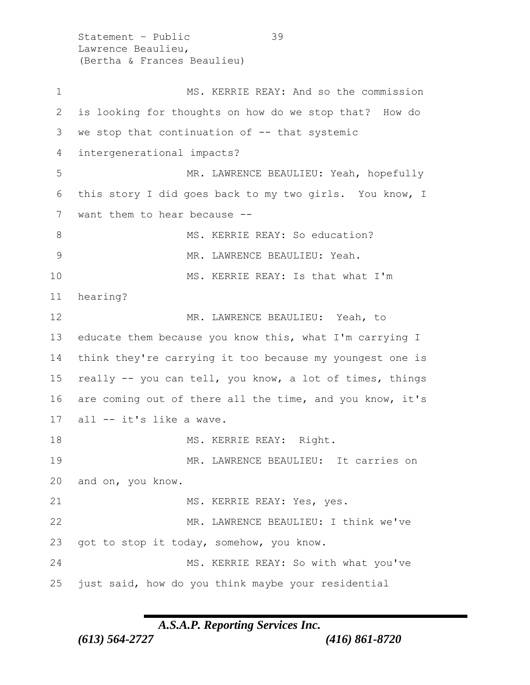Statement – Public 39 Lawrence Beaulieu, (Bertha & Frances Beaulieu) 1 MS. KERRIE REAY: And so the commission 2 is looking for thoughts on how do we stop that? How do 3 we stop that continuation of -- that systemic 4 intergenerational impacts? 5 MR. LAWRENCE BEAULIEU: Yeah, hopefully 6 this story I did goes back to my two girls. You know, I 7 want them to hear because --8 MS. KERRIE REAY: So education? 9 MR. LAWRENCE BEAULIEU: Yeah. 10 MS. KERRIE REAY: Is that what I'm 11 hearing? 12 MR. LAWRENCE BEAULIEU: Yeah, to 13 educate them because you know this, what I'm carrying I 14 think they're carrying it too because my youngest one is 15 really -- you can tell, you know, a lot of times, things 16 are coming out of there all the time, and you know, it's 17 all -- it's like a wave. 18 MS. KERRIE REAY: Right. 19 MR. LAWRENCE BEAULIEU: It carries on 20 and on, you know. 21 MS. KERRIE REAY: Yes, yes. 22 MR. LAWRENCE BEAULIEU: I think we've 23 got to stop it today, somehow, you know. 24 MS. KERRIE REAY: So with what you've 25 just said, how do you think maybe your residential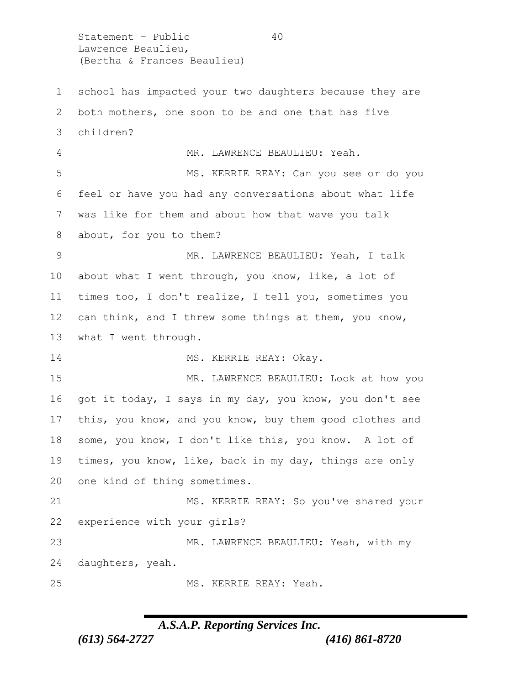Statement - Public 40 Lawrence Beaulieu, (Bertha & Frances Beaulieu) school has impacted your two daughters because they are both mothers, one soon to be and one that has five children? MR. LAWRENCE BEAULIEU: Yeah. MS. KERRIE REAY: Can you see or do you feel or have you had any conversations about what life was like for them and about how that wave you talk about, for you to them? MR. LAWRENCE BEAULIEU: Yeah, I talk about what I went through, you know, like, a lot of times too, I don't realize, I tell you, sometimes you can think, and I threw some things at them, you know, what I went through. 14 MS. KERRIE REAY: Okay. MR. LAWRENCE BEAULIEU: Look at how you got it today, I says in my day, you know, you don't see this, you know, and you know, buy them good clothes and some, you know, I don't like this, you know. A lot of times, you know, like, back in my day, things are only one kind of thing sometimes. MS. KERRIE REAY: So you've shared your experience with your girls? MR. LAWRENCE BEAULIEU: Yeah, with my daughters, yeah. MS. KERRIE REAY: Yeah.

### *A.S.A.P. Reporting Services Inc.*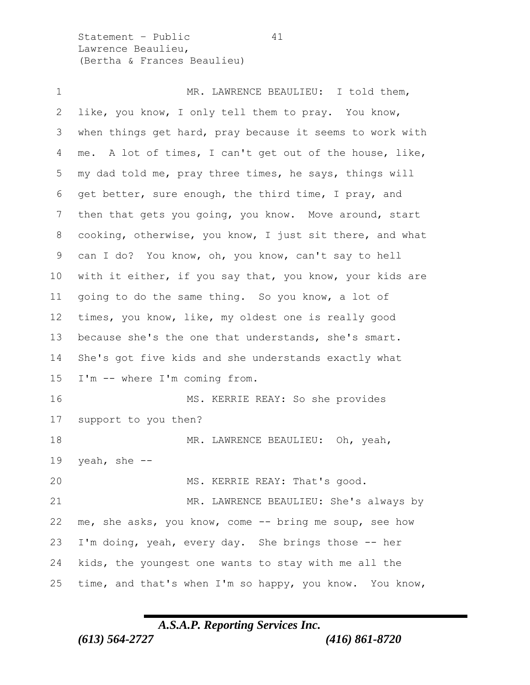Statement – Public 41 Lawrence Beaulieu, (Bertha & Frances Beaulieu)

1 MR. LAWRENCE BEAULIEU: I told them, like, you know, I only tell them to pray. You know, when things get hard, pray because it seems to work with me. A lot of times, I can't get out of the house, like, my dad told me, pray three times, he says, things will get better, sure enough, the third time, I pray, and then that gets you going, you know. Move around, start cooking, otherwise, you know, I just sit there, and what can I do? You know, oh, you know, can't say to hell with it either, if you say that, you know, your kids are going to do the same thing. So you know, a lot of times, you know, like, my oldest one is really good because she's the one that understands, she's smart. She's got five kids and she understands exactly what I'm -- where I'm coming from. MS. KERRIE REAY: So she provides support to you then? 18 MR. LAWRENCE BEAULIEU: Oh, yeah, 19 yeah, she  $-$ 20 MS. KERRIE REAY: That's good. MR. LAWRENCE BEAULIEU: She's always by me, she asks, you know, come -- bring me soup, see how I'm doing, yeah, every day. She brings those -- her kids, the youngest one wants to stay with me all the time, and that's when I'm so happy, you know. You know,

## *A.S.A.P. Reporting Services Inc.*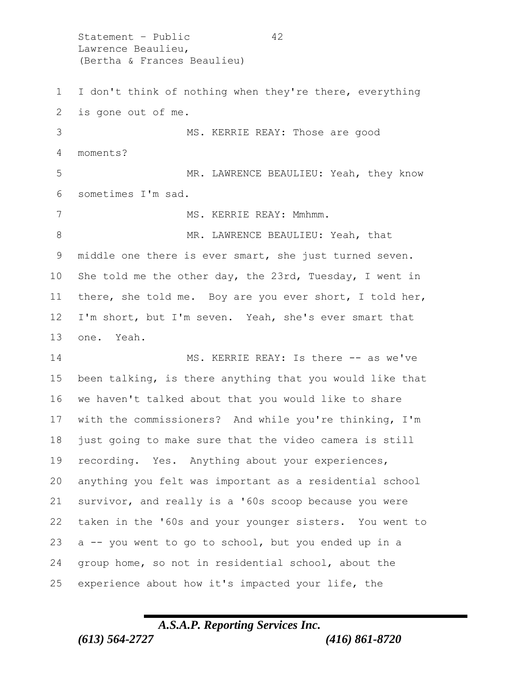Statement - Public 42 Lawrence Beaulieu, (Bertha & Frances Beaulieu) I don't think of nothing when they're there, everything is gone out of me. MS. KERRIE REAY: Those are good moments? MR. LAWRENCE BEAULIEU: Yeah, they know sometimes I'm sad. 7 MS. KERRIE REAY: Mmhmm. 8 MR. LAWRENCE BEAULIEU: Yeah, that middle one there is ever smart, she just turned seven. She told me the other day, the 23rd, Tuesday, I went in there, she told me. Boy are you ever short, I told her, I'm short, but I'm seven. Yeah, she's ever smart that one. Yeah. MS. KERRIE REAY: Is there -- as we've been talking, is there anything that you would like that we haven't talked about that you would like to share with the commissioners? And while you're thinking, I'm just going to make sure that the video camera is still recording. Yes. Anything about your experiences, anything you felt was important as a residential school survivor, and really is a '60s scoop because you were taken in the '60s and your younger sisters. You went to a -- you went to go to school, but you ended up in a group home, so not in residential school, about the experience about how it's impacted your life, the

## *A.S.A.P. Reporting Services Inc. (613) 564-2727 (416) 861-8720*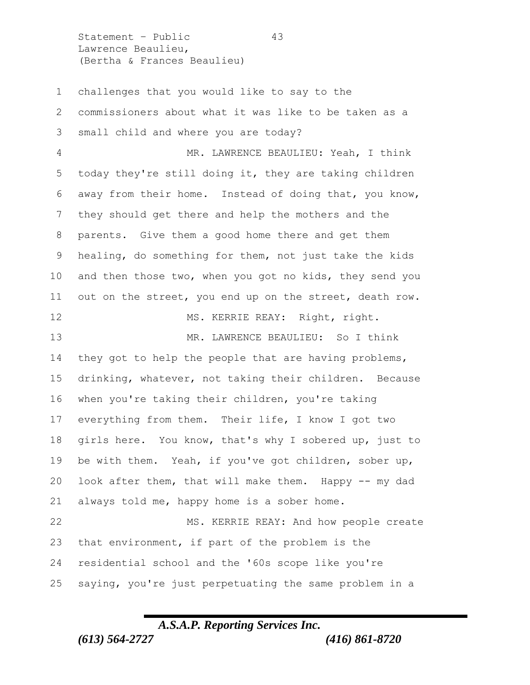Statement – Public 43 Lawrence Beaulieu, (Bertha & Frances Beaulieu)

 challenges that you would like to say to the commissioners about what it was like to be taken as a small child and where you are today? MR. LAWRENCE BEAULIEU: Yeah, I think today they're still doing it, they are taking children away from their home. Instead of doing that, you know, they should get there and help the mothers and the parents. Give them a good home there and get them healing, do something for them, not just take the kids and then those two, when you got no kids, they send you out on the street, you end up on the street, death row. 12 MS. KERRIE REAY: Right, right. MR. LAWRENCE BEAULIEU: So I think 14 they got to help the people that are having problems, drinking, whatever, not taking their children. Because when you're taking their children, you're taking everything from them. Their life, I know I got two girls here. You know, that's why I sobered up, just to be with them. Yeah, if you've got children, sober up, look after them, that will make them. Happy -- my dad always told me, happy home is a sober home. MS. KERRIE REAY: And how people create that environment, if part of the problem is the residential school and the '60s scope like you're saying, you're just perpetuating the same problem in a

#### *A.S.A.P. Reporting Services Inc.*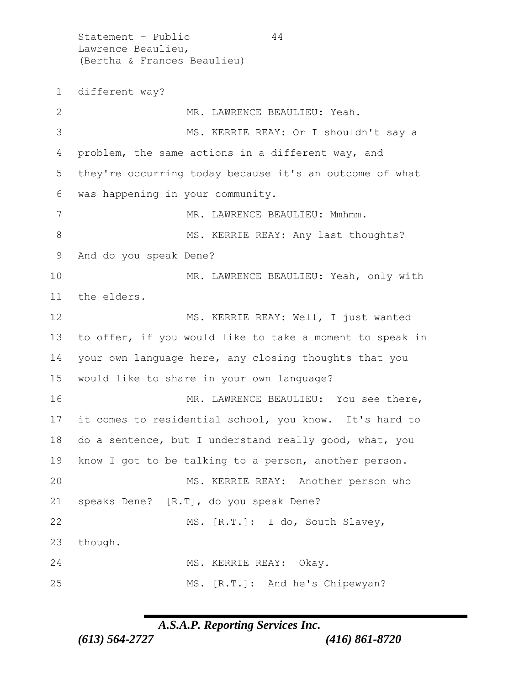Statement - Public 44 Lawrence Beaulieu, (Bertha & Frances Beaulieu) different way? MR. LAWRENCE BEAULIEU: Yeah. MS. KERRIE REAY: Or I shouldn't say a problem, the same actions in a different way, and they're occurring today because it's an outcome of what was happening in your community. 7 MR. LAWRENCE BEAULIEU: Mmhmm. 8 MS. KERRIE REAY: Any last thoughts? And do you speak Dene? MR. LAWRENCE BEAULIEU: Yeah, only with the elders. 12 MS. KERRIE REAY: Well, I just wanted to offer, if you would like to take a moment to speak in your own language here, any closing thoughts that you would like to share in your own language? 16 MR. LAWRENCE BEAULIEU: You see there, it comes to residential school, you know. It's hard to do a sentence, but I understand really good, what, you know I got to be talking to a person, another person. 20 MS. KERRIE REAY: Another person who speaks Dene? [R.T], do you speak Dene? MS. [R.T.]: I do, South Slavey, though. MS. KERRIE REAY: Okay. MS. [R.T.]: And he's Chipewyan?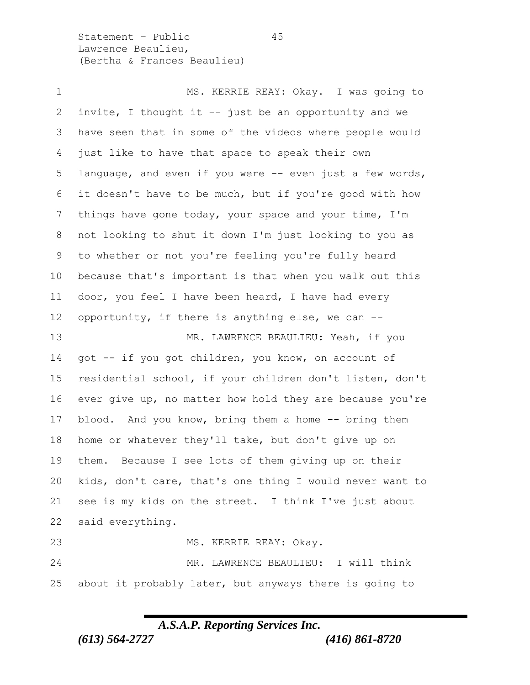Statement – Public 45 Lawrence Beaulieu, (Bertha & Frances Beaulieu)

1 MS. KERRIE REAY: Okay. I was going to invite, I thought it -- just be an opportunity and we have seen that in some of the videos where people would just like to have that space to speak their own language, and even if you were -- even just a few words, it doesn't have to be much, but if you're good with how things have gone today, your space and your time, I'm not looking to shut it down I'm just looking to you as to whether or not you're feeling you're fully heard because that's important is that when you walk out this door, you feel I have been heard, I have had every opportunity, if there is anything else, we can -- 13 MR. LAWRENCE BEAULIEU: Yeah, if you got -- if you got children, you know, on account of residential school, if your children don't listen, don't ever give up, no matter how hold they are because you're 17 blood. And you know, bring them a home -- bring them home or whatever they'll take, but don't give up on them. Because I see lots of them giving up on their kids, don't care, that's one thing I would never want to see is my kids on the street. I think I've just about said everything. 23 MS. KERRIE REAY: Okay. MR. LAWRENCE BEAULIEU: I will think about it probably later, but anyways there is going to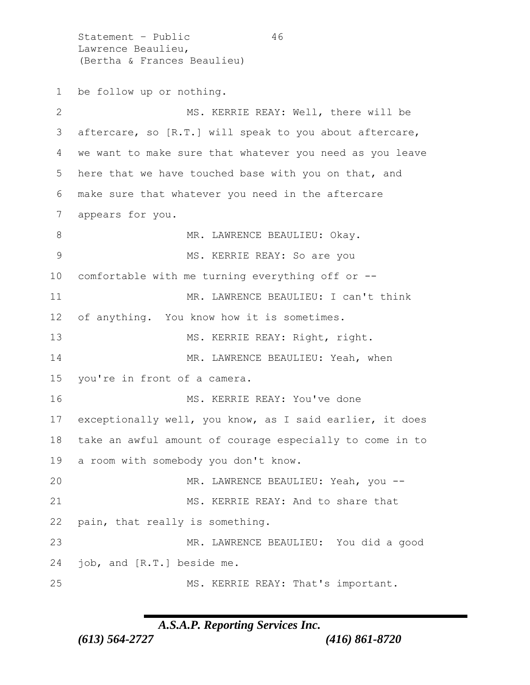Statement - Public 46 Lawrence Beaulieu, (Bertha & Frances Beaulieu) be follow up or nothing. MS. KERRIE REAY: Well, there will be aftercare, so [R.T.] will speak to you about aftercare, we want to make sure that whatever you need as you leave here that we have touched base with you on that, and make sure that whatever you need in the aftercare appears for you. 8 MR. LAWRENCE BEAULIEU: Okay. MS. KERRIE REAY: So are you comfortable with me turning everything off or -- 11 MR. LAWRENCE BEAULIEU: I can't think of anything. You know how it is sometimes. 13 MS. KERRIE REAY: Right, right. 14 MR. LAWRENCE BEAULIEU: Yeah, when you're in front of a camera. 16 MS. KERRIE REAY: You've done exceptionally well, you know, as I said earlier, it does take an awful amount of courage especially to come in to a room with somebody you don't know. 20 MR. LAWRENCE BEAULIEU: Yeah, you -- MS. KERRIE REAY: And to share that pain, that really is something. MR. LAWRENCE BEAULIEU: You did a good job, and [R.T.] beside me. 25 MS. KERRIE REAY: That's important.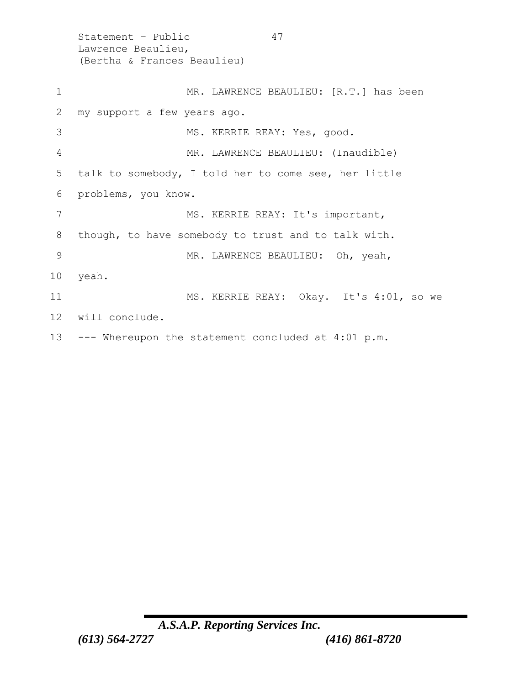Statement – Public 47 Lawrence Beaulieu, (Bertha & Frances Beaulieu) 1 MR. LAWRENCE BEAULIEU: [R.T.] has been 2 my support a few years ago. 3 MS. KERRIE REAY: Yes, good. 4 MR. LAWRENCE BEAULIEU: (Inaudible) 5 talk to somebody, I told her to come see, her little 6 problems, you know. 7 MS. KERRIE REAY: It's important, 8 though, to have somebody to trust and to talk with. 9 MR. LAWRENCE BEAULIEU: Oh, yeah, 10 yeah. 11 MS. KERRIE REAY: Okay. It's 4:01, so we 12 will conclude. 13 --- Whereupon the statement concluded at 4:01 p.m.